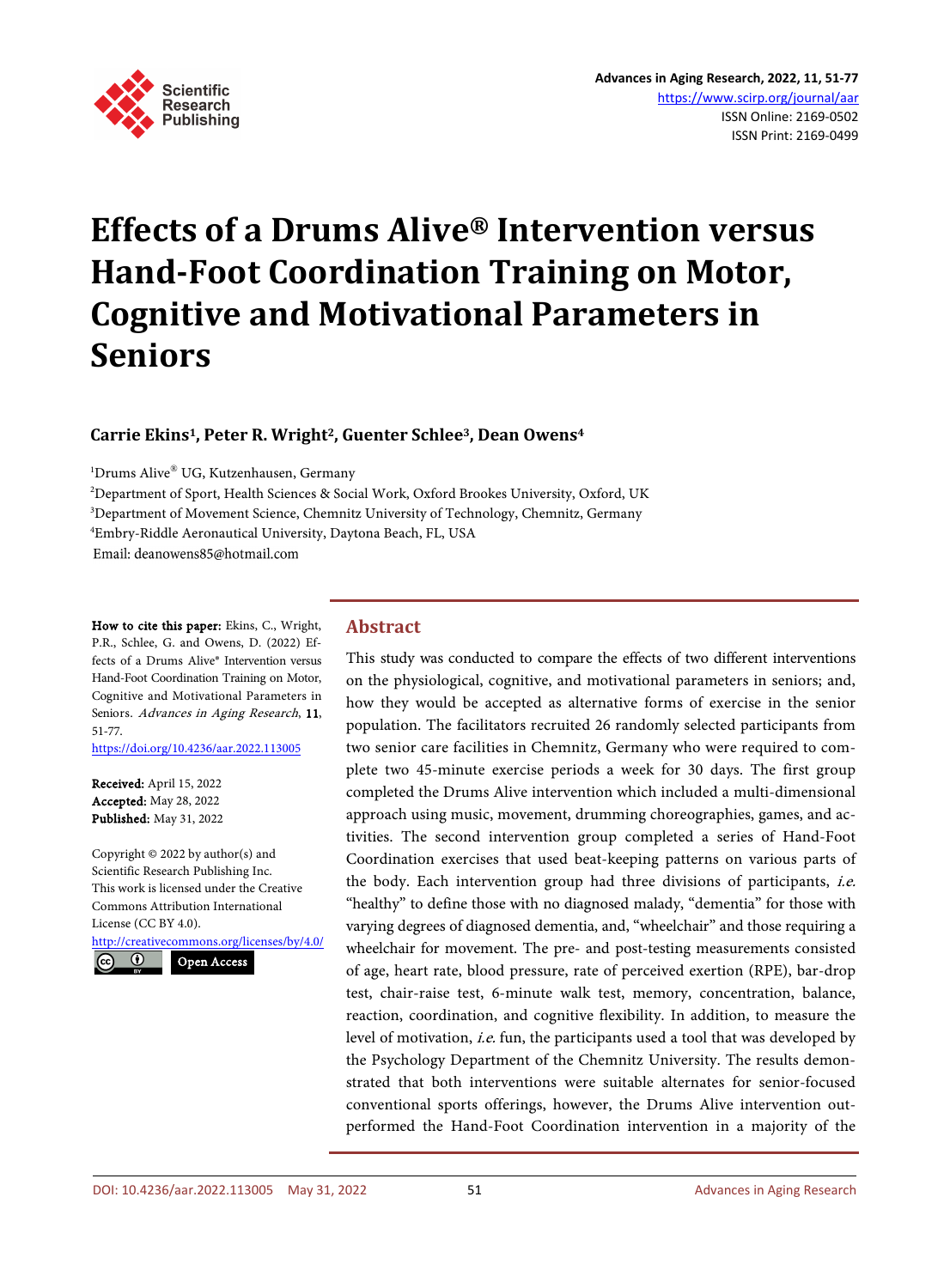

# **Effects of a Drums Alive® Intervention versus Hand-Foot Coordination Training on Motor, Cognitive and Motivational Parameters in Seniors**

# **Carrie Ekins1, Peter R. Wright2, Guenter Schlee3, Dean Owens4**

<sup>1</sup>Drums Alive® UG, Kutzenhausen, Germany

2 Department of Sport, Health Sciences & Social Work, Oxford Brookes University, Oxford, UK <sup>3</sup>Department of Movement Science, Chemnitz University of Technology, Chemnitz, Germany 4 Embry-Riddle Aeronautical University, Daytona Beach, FL, USA Email: deanowens85@hotmail.com

How to cite this paper: Ekins, C., Wright, P.R., Schlee, G. and Owens, D. (2022) Effects of a Drums Alive® Intervention versus Hand-Foot Coordination Training on Motor, Cognitive and Motivational Parameters in Seniors. Advances in Aging Research, 11, 51-77.

<https://doi.org/10.4236/aar.2022.113005>

Received: April 15, 2022 Accepted: May 28, 2022 Published: May 31, 2022

Copyright © 2022 by author(s) and Scientific Research Publishing Inc. This work is licensed under the Creative Commons Attribution International License (CC BY 4.0). <http://creativecommons.org/licenses/by/4.0/> Open Access $\odot$ 

## **Abstract**

This study was conducted to compare the effects of two different interventions on the physiological, cognitive, and motivational parameters in seniors; and, how they would be accepted as alternative forms of exercise in the senior population. The facilitators recruited 26 randomly selected participants from two senior care facilities in Chemnitz, Germany who were required to complete two 45-minute exercise periods a week for 30 days. The first group completed the Drums Alive intervention which included a multi-dimensional approach using music, movement, drumming choreographies, games, and activities. The second intervention group completed a series of Hand-Foot Coordination exercises that used beat-keeping patterns on various parts of the body. Each intervention group had three divisions of participants, i.e. "healthy" to define those with no diagnosed malady, "dementia" for those with varying degrees of diagnosed dementia, and, "wheelchair" and those requiring a wheelchair for movement. The pre- and post-testing measurements consisted of age, heart rate, blood pressure, rate of perceived exertion (RPE), bar-drop test, chair-raise test, 6-minute walk test, memory, concentration, balance, reaction, coordination, and cognitive flexibility. In addition, to measure the level of motivation, *i.e.* fun, the participants used a tool that was developed by the Psychology Department of the Chemnitz University. The results demonstrated that both interventions were suitable alternates for senior-focused conventional sports offerings, however, the Drums Alive intervention outperformed the Hand-Foot Coordination intervention in a majority of the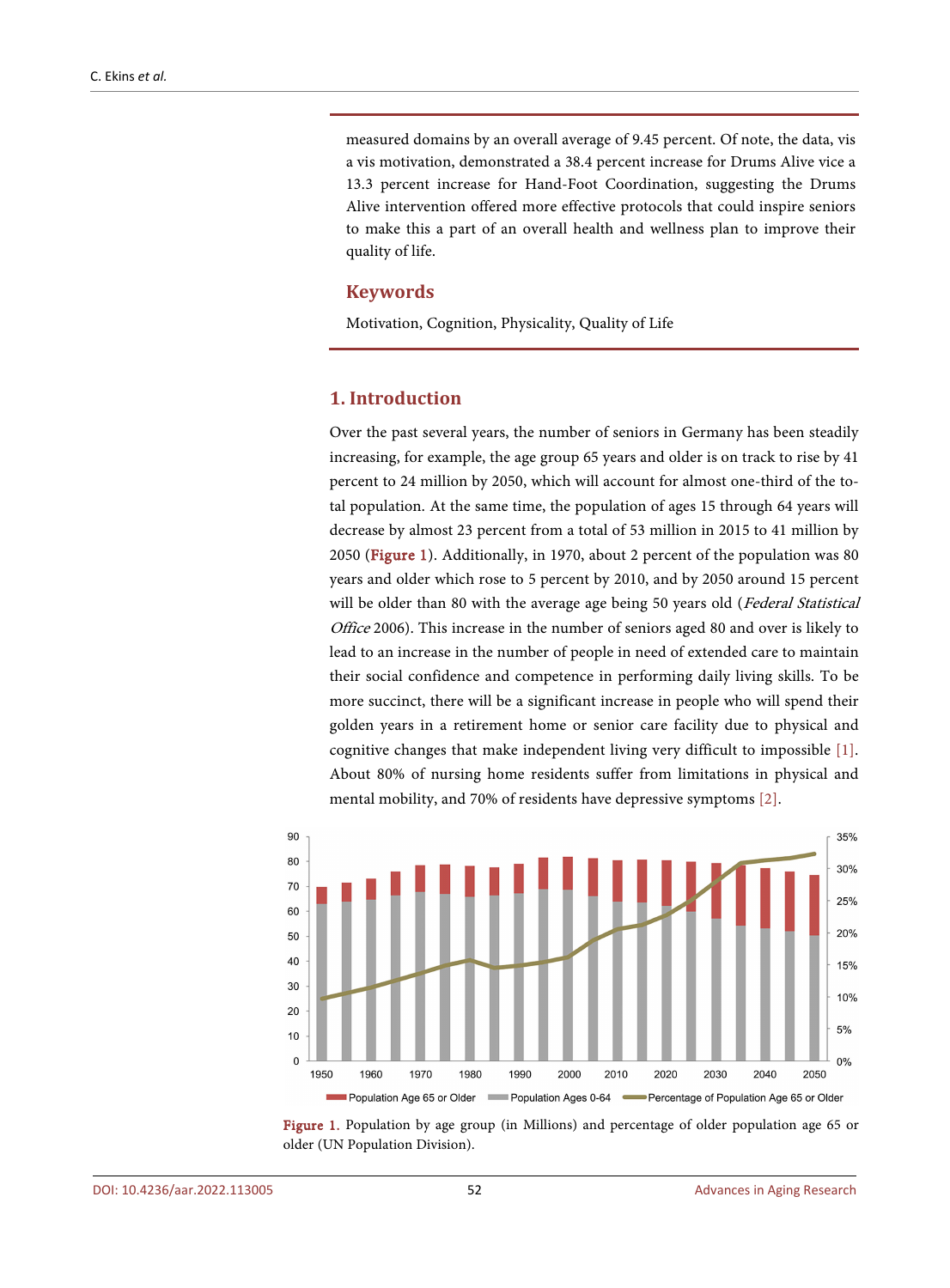measured domains by an overall average of 9.45 percent. Of note, the data, vis a vis motivation, demonstrated a 38.4 percent increase for Drums Alive vice a 13.3 percent increase for Hand-Foot Coordination, suggesting the Drums Alive intervention offered more effective protocols that could inspire seniors to make this a part of an overall health and wellness plan to improve their quality of life.

#### **Keywords**

Motivation, Cognition, Physicality, Quality of Life

## **1. Introduction**

Over the past several years, the number of seniors in Germany has been steadily increasing, for example, the age group 65 years and older is on track to rise by 41 percent to 24 million by 2050, which will account for almost one-third of the total population. At the same time, the population of ages 15 through 64 years will decrease by almost 23 percent from a total of 53 million in 2015 to 41 million by 2050 [\(Figure 1\)](#page-1-0). Additionally, in 1970, about 2 percent of the population was 80 years and older which rose to 5 percent by 2010, and by 2050 around 15 percent will be older than 80 with the average age being 50 years old (Federal Statistical Office 2006). This increase in the number of seniors aged 80 and over is likely to lead to an increase in the number of people in need of extended care to maintain their social confidence and competence in performing daily living skills. To be more succinct, there will be a significant increase in people who will spend their golden years in a retirement home or senior care facility due to physical and cognitive changes that make independent living very difficult to impossible [\[1\].](#page-24-0)  About 80% of nursing home residents suffer from limitations in physical and mental mobility, and 70% of residents have depressive symptoms [\[2\].](#page-24-1)

<span id="page-1-0"></span>

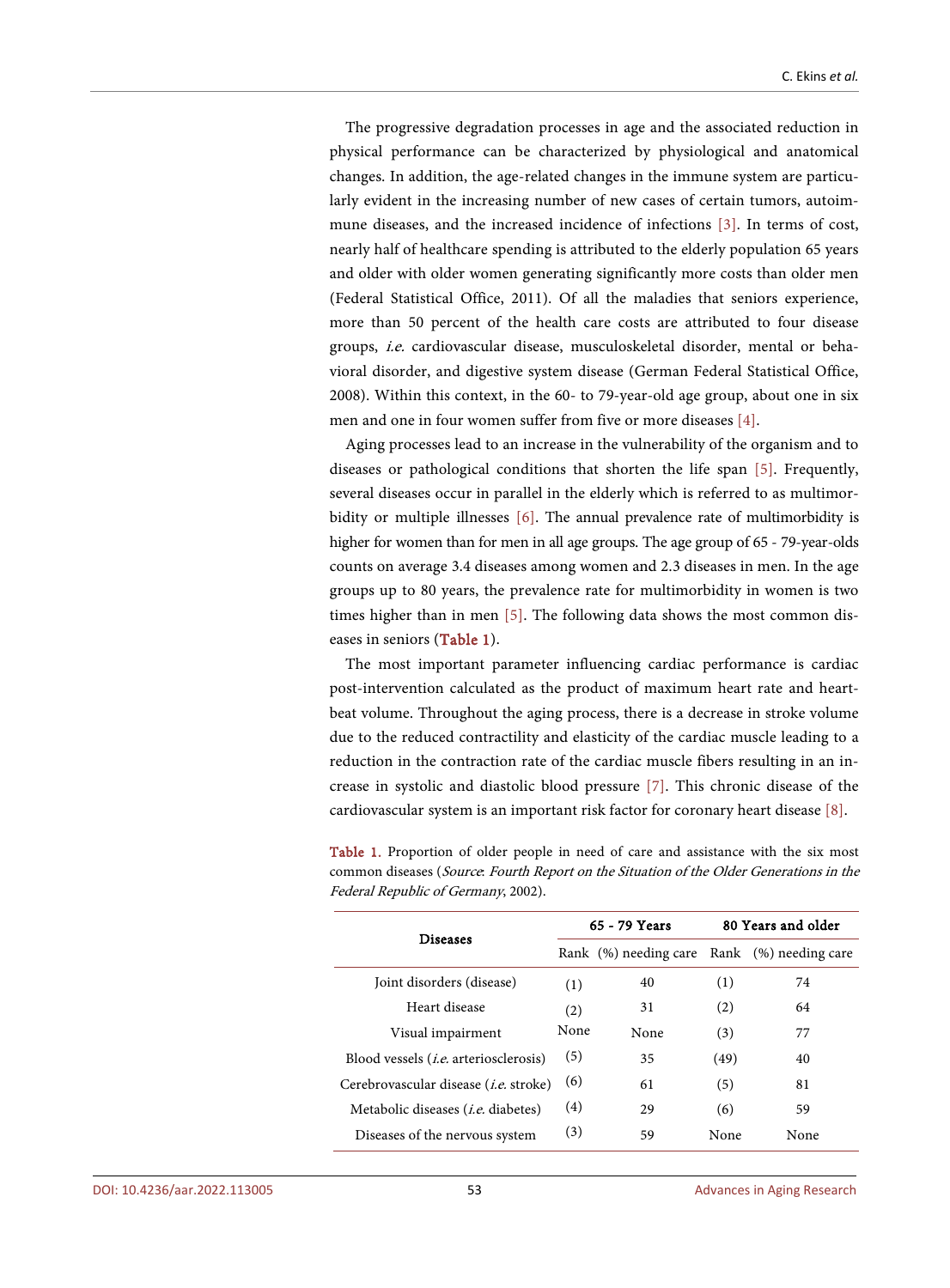The progressive degradation processes in age and the associated reduction in physical performance can be characterized by physiological and anatomical changes. In addition, the age-related changes in the immune system are particularly evident in the increasing number of new cases of certain tumors, autoimmune diseases, and the increased incidence of infections [\[3\].](#page-24-2) In terms of cost, nearly half of healthcare spending is attributed to the elderly population 65 years and older with older women generating significantly more costs than older men (Federal Statistical Office, 2011). Of all the maladies that seniors experience, more than 50 percent of the health care costs are attributed to four disease groups, i.e. cardiovascular disease, musculoskeletal disorder, mental or behavioral disorder, and digestive system disease (German Federal Statistical Office, 2008). Within this context, in the 60- to 79-year-old age group, about one in six men and one in four women suffer from five or more diseases [\[4\].](#page-24-3) 

Aging processes lead to an increase in the vulnerability of the organism and to diseases or pathological conditions that shorten the life span [\[5\].](#page-24-4) Frequently, several diseases occur in parallel in the elderly which is referred to as multimorbidity or multiple illnesses [\[6\].](#page-24-5) The annual prevalence rate of multimorbidity is higher for women than for men in all age groups. The age group of 65 - 79-year-olds counts on average 3.4 diseases among women and 2.3 diseases in men. In the age groups up to 80 years, the prevalence rate for multimorbidity in women is two times higher than in men [\[5\].](#page-24-4) The following data shows the most common diseases in seniors [\(Table 1\)](#page-2-0).

The most important parameter influencing cardiac performance is cardiac post-intervention calculated as the product of maximum heart rate and heartbeat volume. Throughout the aging process, there is a decrease in stroke volume due to the reduced contractility and elasticity of the cardiac muscle leading to a reduction in the contraction rate of the cardiac muscle fibers resulting in an increase in systolic and diastolic blood pressure [\[7\].](#page-24-6) This chronic disease of the cardiovascular system is an important risk factor for coronary heart disease [\[8\].](#page-24-7)

|                                              | 65 - 79 Years |                                             | 80 Years and older |      |
|----------------------------------------------|---------------|---------------------------------------------|--------------------|------|
| <b>Diseases</b>                              |               | Rank (%) needing care Rank (%) needing care |                    |      |
| Joint disorders (disease)                    | (1)           | 40                                          | (1)                | 74   |
| Heart disease                                | (2)           | 31                                          | (2)                | 64   |
| Visual impairment                            | None          | None                                        | (3)                | 77   |
| Blood vessels <i>(i.e.</i> arteriosclerosis) | (5)           | 35                                          | (49)               | 40   |
| Cerebrovascular disease <i>(i.e.</i> stroke) | (6)           | 61                                          | (5)                | 81   |
| Metabolic diseases <i>(i.e.</i> diabetes)    | (4)           | 29                                          | (6)                | 59   |
| Diseases of the nervous system               | (3)           | 59                                          | None               | None |

<span id="page-2-0"></span>Table 1. Proportion of older people in need of care and assistance with the six most common diseases (Source: Fourth Report on the Situation of the Older Generations in the Federal Republic of Germany, 2002).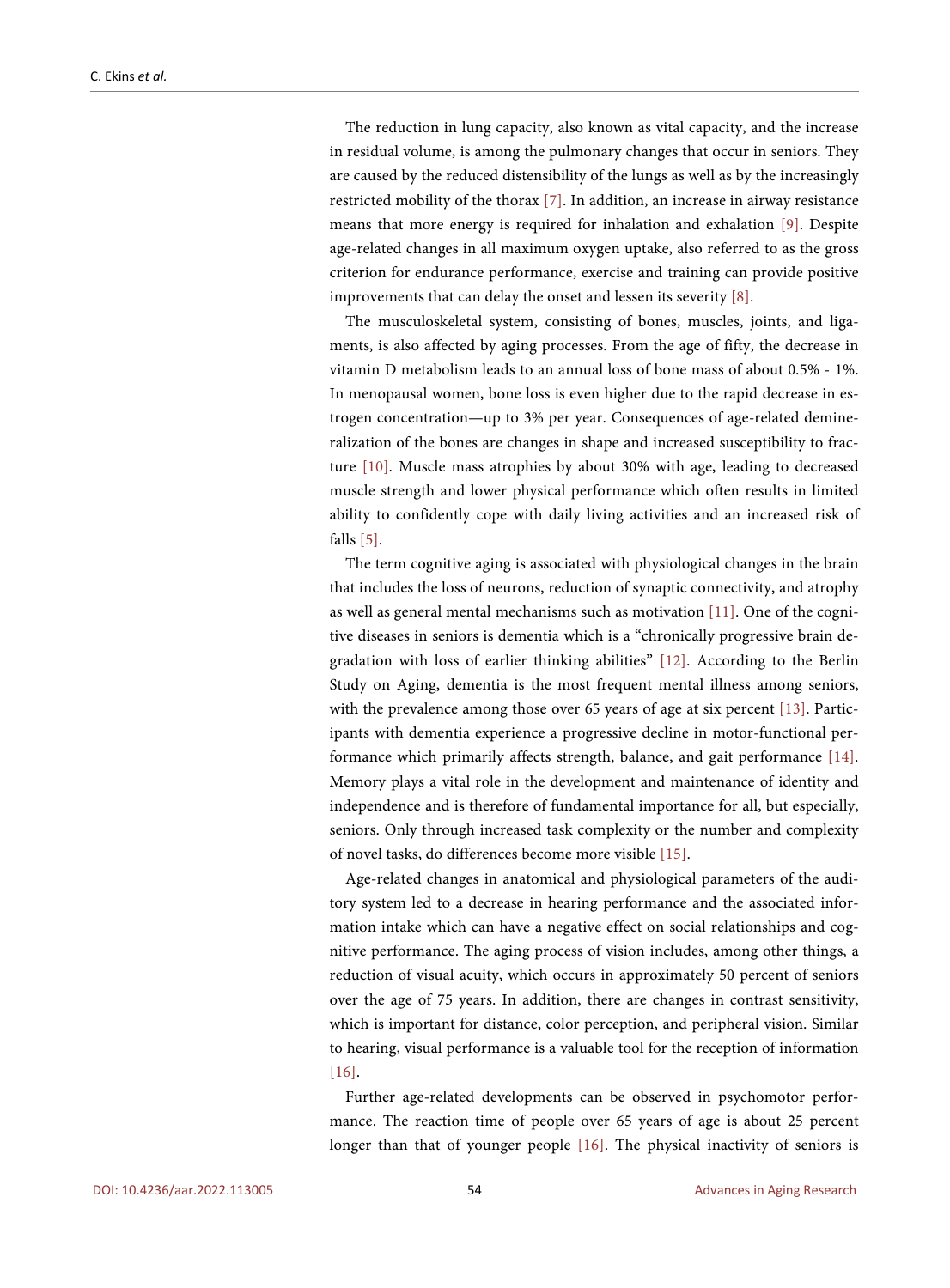The reduction in lung capacity, also known as vital capacity, and the increase in residual volume, is among the pulmonary changes that occur in seniors. They are caused by the reduced distensibility of the lungs as well as by the increasingly restricted mobility of the thorax [\[7\].](#page-24-6) In addition, an increase in airway resistance means that more energy is required for inhalation and exhalation [\[9\].](#page-24-8) Despite age-related changes in all maximum oxygen uptake, also referred to as the gross criterion for endurance performance, exercise and training can provide positive improvements that can delay the onset and lessen its severity [\[8\].](#page-24-7) 

The musculoskeletal system, consisting of bones, muscles, joints, and ligaments, is also affected by aging processes. From the age of fifty, the decrease in vitamin D metabolism leads to an annual loss of bone mass of about 0.5% - 1%. In menopausal women, bone loss is even higher due to the rapid decrease in estrogen concentration—up to 3% per year. Consequences of age-related demineralization of the bones are changes in shape and increased susceptibility to fracture [\[10\].](#page-24-9) Muscle mass atrophies by about 30% with age, leading to decreased muscle strength and lower physical performance which often results in limited ability to confidently cope with daily living activities and an increased risk of fall[s \[5\].](#page-24-4) 

The term cognitive aging is associated with physiological changes in the brain that includes the loss of neurons, reduction of synaptic connectivity, and atrophy as well as general mental mechanisms such as motivation [\[11\].](#page-24-10) One of the cognitive diseases in seniors is dementia which is a "chronically progressive brain degradation with loss of earlier thinking abilities" [\[12\].](#page-24-11) According to the Berlin Study on Aging, dementia is the most frequent mental illness among seniors, with the prevalence among those over 65 years of age at six percent [\[13\].](#page-25-0) Participants with dementia experience a progressive decline in motor-functional performance which primarily affects strength, balance, and gait performance [\[14\].](#page-25-1)  Memory plays a vital role in the development and maintenance of identity and independence and is therefore of fundamental importance for all, but especially, seniors. Only through increased task complexity or the number and complexity of novel tasks, do differences become more visible [\[15\].](#page-25-2)

Age-related changes in anatomical and physiological parameters of the auditory system led to a decrease in hearing performance and the associated information intake which can have a negative effect on social relationships and cognitive performance. The aging process of vision includes, among other things, a reduction of visual acuity, which occurs in approximately 50 percent of seniors over the age of 75 years. In addition, there are changes in contrast sensitivity, which is important for distance, color perception, and peripheral vision. Similar to hearing, visual performance is a valuable tool for the reception of information [\[16\].](#page-25-3) 

Further age-related developments can be observed in psychomotor performance. The reaction time of people over 65 years of age is about 25 percent longer than that of younger people [\[16\].](#page-25-3) The physical inactivity of seniors is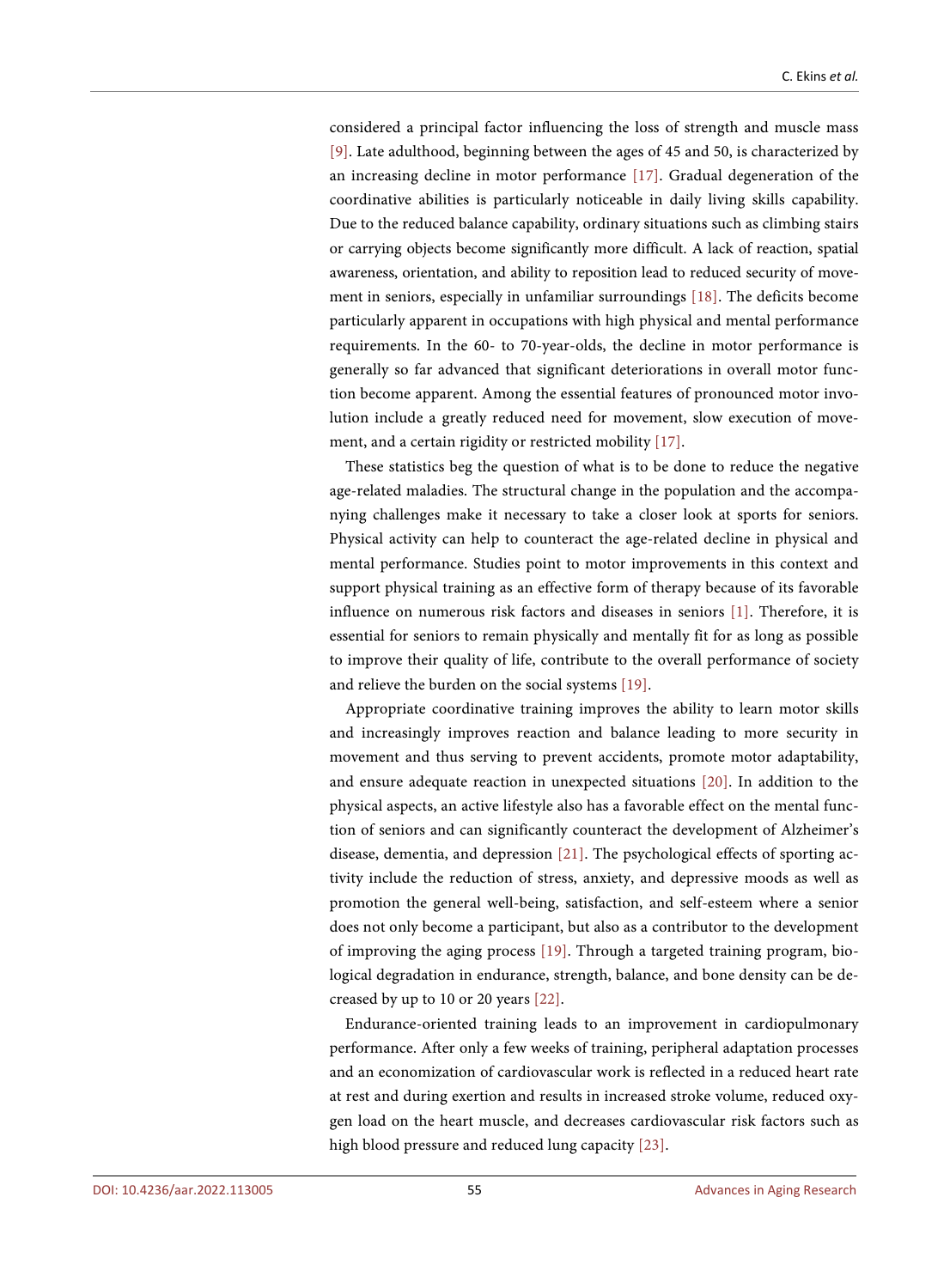considered a principal factor influencing the loss of strength and muscle mass [\[9\].](#page-24-8) Late adulthood, beginning between the ages of 45 and 50, is characterized by an increasing decline in motor performance [\[17\].](#page-25-4) Gradual degeneration of the coordinative abilities is particularly noticeable in daily living skills capability. Due to the reduced balance capability, ordinary situations such as climbing stairs or carrying objects become significantly more difficult. A lack of reaction, spatial awareness, orientation, and ability to reposition lead to reduced security of movement in seniors, especially in unfamiliar surroundings [\[18\].](#page-25-5) The deficits become particularly apparent in occupations with high physical and mental performance requirements. In the 60- to 70-year-olds, the decline in motor performance is generally so far advanced that significant deteriorations in overall motor function become apparent. Among the essential features of pronounced motor involution include a greatly reduced need for movement, slow execution of movement, and a certain rigidity or restricted mobility [\[17\].](#page-25-4) 

These statistics beg the question of what is to be done to reduce the negative age-related maladies. The structural change in the population and the accompanying challenges make it necessary to take a closer look at sports for seniors. Physical activity can help to counteract the age-related decline in physical and mental performance. Studies point to motor improvements in this context and support physical training as an effective form of therapy because of its favorable influence on numerous risk factors and diseases in seniors [\[1\].](#page-24-0) Therefore, it is essential for seniors to remain physically and mentally fit for as long as possible to improve their quality of life, contribute to the overall performance of society and relieve the burden on the social systems [\[19\].](#page-25-6) 

Appropriate coordinative training improves the ability to learn motor skills and increasingly improves reaction and balance leading to more security in movement and thus serving to prevent accidents, promote motor adaptability, and ensure adequate reaction in unexpected situations [\[20\].](#page-25-7) In addition to the physical aspects, an active lifestyle also has a favorable effect on the mental function of seniors and can significantly counteract the development of Alzheimer's disease, dementia, and depression [\[21\].](#page-25-8) The psychological effects of sporting activity include the reduction of stress, anxiety, and depressive moods as well as promotion the general well-being, satisfaction, and self-esteem where a senior does not only become a participant, but also as a contributor to the development of improving the aging process [\[19\].](#page-25-6) Through a targeted training program, biological degradation in endurance, strength, balance, and bone density can be decreased by up to 10 or 20 years [\[22\].](#page-25-9) 

Endurance-oriented training leads to an improvement in cardiopulmonary performance. After only a few weeks of training, peripheral adaptation processes and an economization of cardiovascular work is reflected in a reduced heart rate at rest and during exertion and results in increased stroke volume, reduced oxygen load on the heart muscle, and decreases cardiovascular risk factors such as high blood pressure and reduced lung capacity [\[23\].](#page-25-10)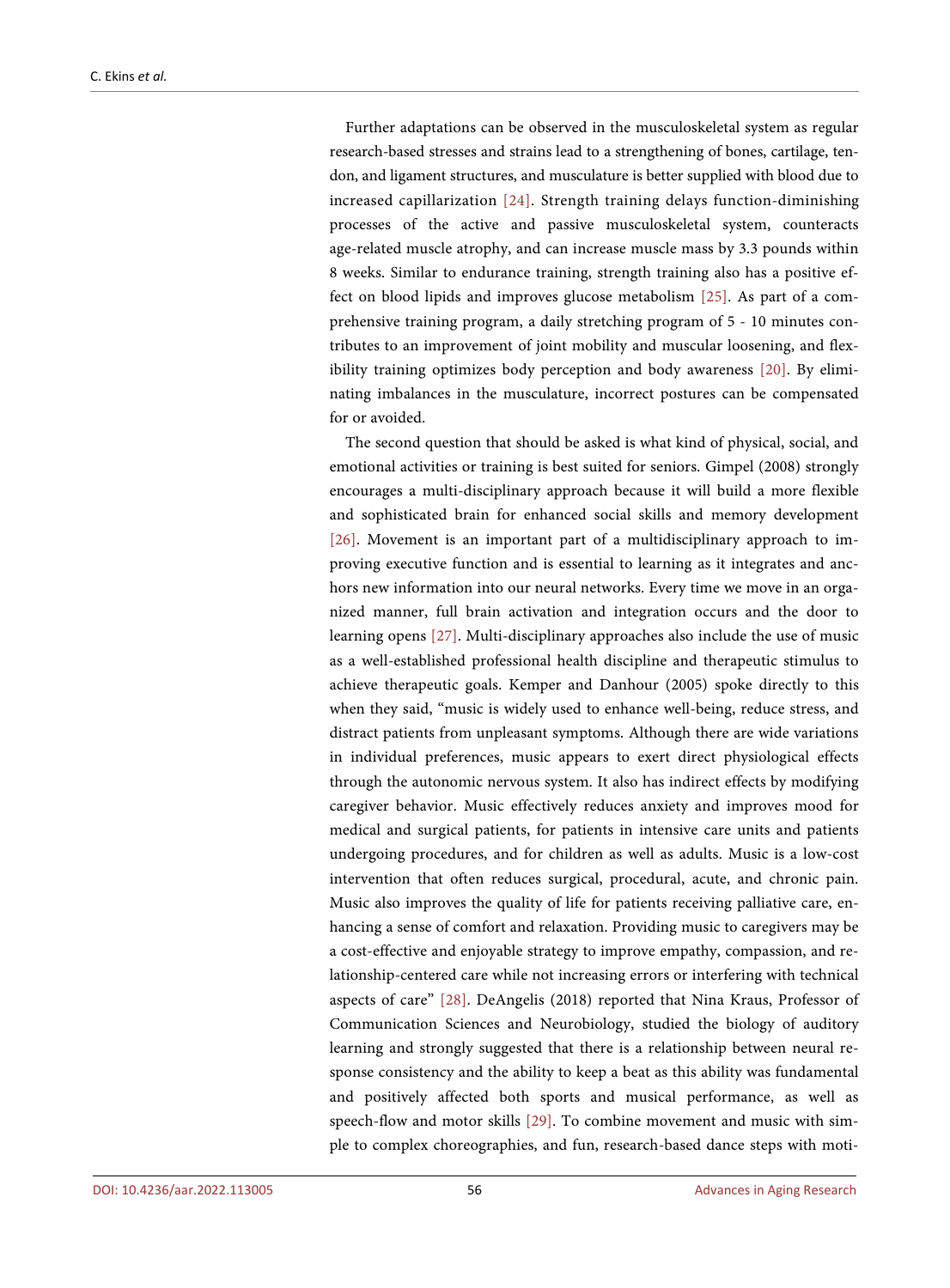Further adaptations can be observed in the musculoskeletal system as regular research-based stresses and strains lead to a strengthening of bones, cartilage, tendon, and ligament structures, and musculature is better supplied with blood due to increased capillarization [\[24\].](#page-25-11) Strength training delays function-diminishing processes of the active and passive musculoskeletal system, counteracts age-related muscle atrophy, and can increase muscle mass by 3.3 pounds within 8 weeks. Similar to endurance training, strength training also has a positive effect on blood lipids and improves glucose metabolism [\[25\].](#page-25-12) As part of a comprehensive training program, a daily stretching program of 5 - 10 minutes contributes to an improvement of joint mobility and muscular loosening, and flexibility training optimizes body perception and body awareness [\[20\].](#page-25-7) By eliminating imbalances in the musculature, incorrect postures can be compensated for or avoided.

The second question that should be asked is what kind of physical, social, and emotional activities or training is best suited for seniors. Gimpel (2008) strongly encourages a multi-disciplinary approach because it will build a more flexible and sophisticated brain for enhanced social skills and memory development [\[26\].](#page-25-13) Movement is an important part of a multidisciplinary approach to improving executive function and is essential to learning as it integrates and anchors new information into our neural networks. Every time we move in an organized manner, full brain activation and integration occurs and the door to learning opens [\[27\].](#page-25-14) Multi-disciplinary approaches also include the use of music as a well-established professional health discipline and therapeutic stimulus to achieve therapeutic goals. Kemper and Danhour (2005) spoke directly to this when they said, "music is widely used to enhance well-being, reduce stress, and distract patients from unpleasant symptoms. Although there are wide variations in individual preferences, music appears to exert direct physiological effects through the autonomic nervous system. It also has indirect effects by modifying caregiver behavior. Music effectively reduces anxiety and improves mood for medical and surgical patients, for patients in intensive care units and patients undergoing procedures, and for children as well as adults. Music is a low-cost intervention that often reduces surgical, procedural, acute, and chronic pain. Music also improves the quality of life for patients receiving palliative care, enhancing a sense of comfort and relaxation. Providing music to caregivers may be a cost-effective and enjoyable strategy to improve empathy, compassion, and relationship-centered care while not increasing errors or interfering with technical aspects of care" [\[28\].](#page-25-15) DeAngelis (2018) reported that Nina Kraus, Professor of Communication Sciences and Neurobiology, studied the biology of auditory learning and strongly suggested that there is a relationship between neural response consistency and the ability to keep a beat as this ability was fundamental and positively affected both sports and musical performance, as well as speech-flow and motor skills [\[29\].](#page-25-16) To combine movement and music with simple to complex choreographies, and fun, research-based dance steps with moti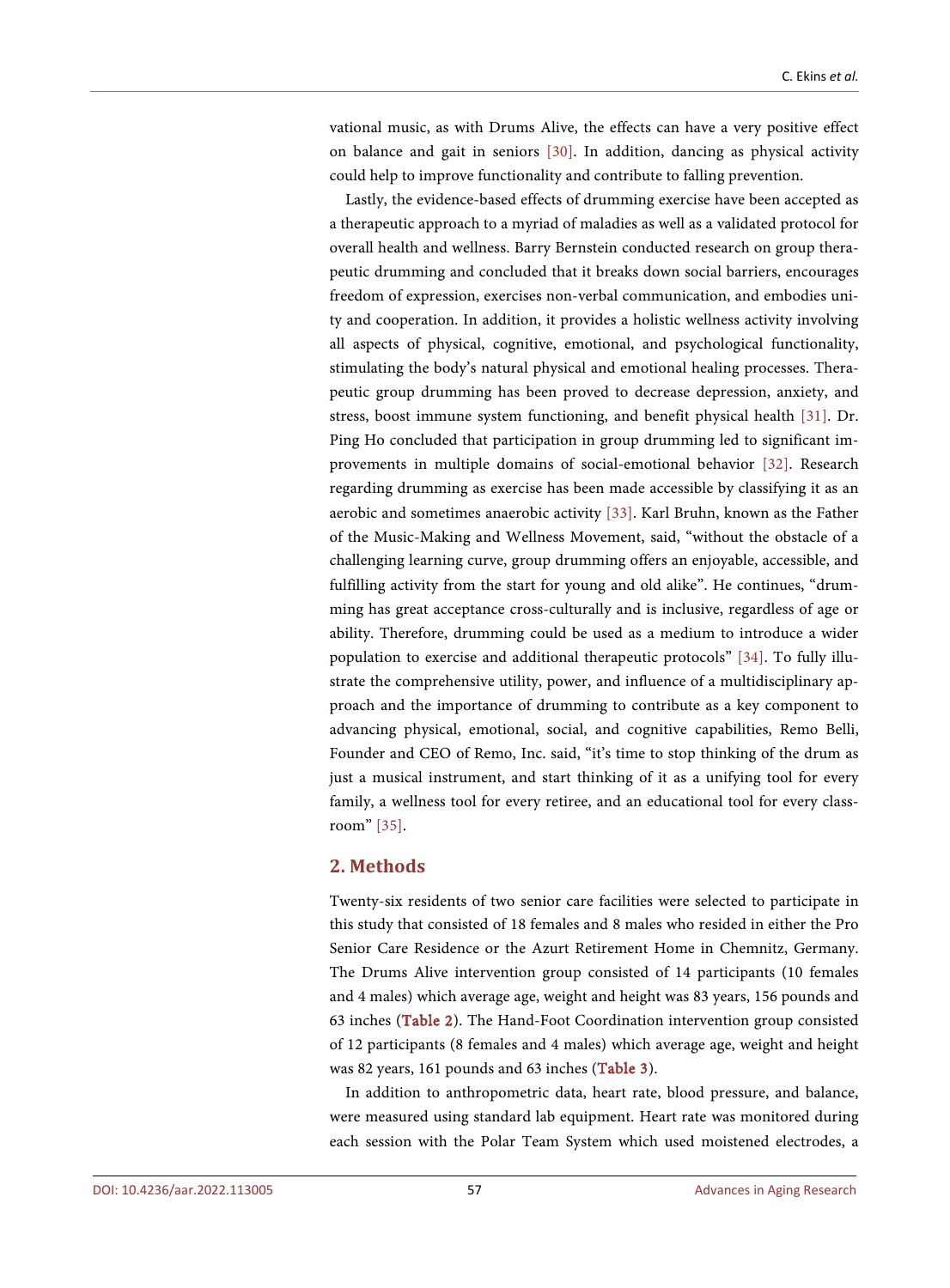vational music, as with Drums Alive, the effects can have a very positive effect on balance and gait in seniors [\[30\].](#page-25-17) In addition, dancing as physical activity could help to improve functionality and contribute to falling prevention.

Lastly, the evidence-based effects of drumming exercise have been accepted as a therapeutic approach to a myriad of maladies as well as a validated protocol for overall health and wellness. Barry Bernstein conducted research on group therapeutic drumming and concluded that it breaks down social barriers, encourages freedom of expression, exercises non-verbal communication, and embodies unity and cooperation. In addition, it provides a holistic wellness activity involving all aspects of physical, cognitive, emotional, and psychological functionality, stimulating the body's natural physical and emotional healing processes. Therapeutic group drumming has been proved to decrease depression, anxiety, and stress, boost immune system functioning, and benefit physical health [\[31\].](#page-25-18) Dr. Ping Ho concluded that participation in group drumming led to significant improvements in multiple domains of social-emotional behavior [\[32\].](#page-26-0) Research regarding drumming as exercise has been made accessible by classifying it as an aerobic and sometimes anaerobic activity [\[33\].](#page-26-1) Karl Bruhn, known as the Father of the Music-Making and Wellness Movement, said, "without the obstacle of a challenging learning curve, group drumming offers an enjoyable, accessible, and fulfilling activity from the start for young and old alike". He continues, "drumming has great acceptance cross-culturally and is inclusive, regardless of age or ability. Therefore, drumming could be used as a medium to introduce a wider population to exercise and additional therapeutic protocols" [\[34\].](#page-26-2) To fully illustrate the comprehensive utility, power, and influence of a multidisciplinary approach and the importance of drumming to contribute as a key component to advancing physical, emotional, social, and cognitive capabilities, Remo Belli, Founder and CEO of Remo, Inc. said, "it's time to stop thinking of the drum as just a musical instrument, and start thinking of it as a unifying tool for every family, a wellness tool for every retiree, and an educational tool for every classroom" [\[35\].](#page-26-3) 

#### **2. Methods**

Twenty-six residents of two senior care facilities were selected to participate in this study that consisted of 18 females and 8 males who resided in either the Pro Senior Care Residence or the Azurt Retirement Home in Chemnitz, Germany. The Drums Alive intervention group consisted of 14 participants (10 females and 4 males) which average age, weight and height was 83 years, 156 pounds and 63 inches [\(Table 2\)](#page-7-0). The Hand-Foot Coordination intervention group consisted of 12 participants (8 females and 4 males) which average age, weight and height was 82 years, 161 pounds and 63 inches [\(Table 3\)](#page-7-1).

In addition to anthropometric data, heart rate, blood pressure, and balance, were measured using standard lab equipment. Heart rate was monitored during each session with the Polar Team System which used moistened electrodes, a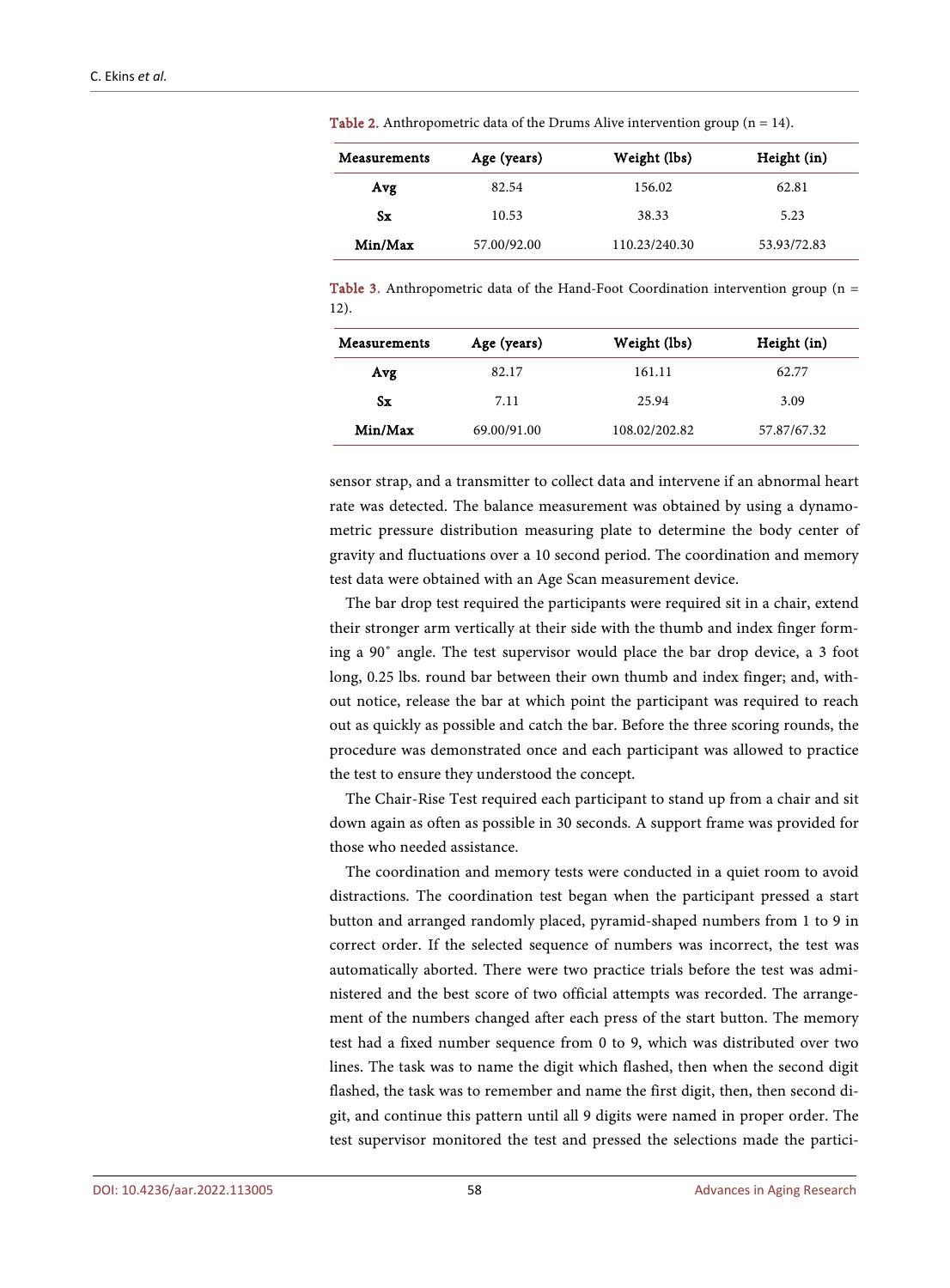| Measurements | Age (years) | Weight (lbs)  | Height (in) |
|--------------|-------------|---------------|-------------|
| Avg          | 82.54       | 156.02        | 62.81       |
| <b>Sx</b>    | 10.53       | 38.33         | 5.23        |
| Min/Max      | 57.00/92.00 | 110.23/240.30 | 53.93/72.83 |

<span id="page-7-0"></span>**Table 2.** Anthropometric data of the Drums Alive intervention group ( $n = 14$ ).

<span id="page-7-1"></span>**Table 3.** Anthropometric data of the Hand-Foot Coordination intervention group ( $n =$ 12).

| Measurements | Age (years) | Weight (lbs)  | Height (in) |
|--------------|-------------|---------------|-------------|
| Avg          | 82.17       | 161.11        | 62.77       |
| <b>Sx</b>    | 7.11        | 25.94         | 3.09        |
| Min/Max      | 69.00/91.00 | 108.02/202.82 | 57.87/67.32 |

sensor strap, and a transmitter to collect data and intervene if an abnormal heart rate was detected. The balance measurement was obtained by using a dynamometric pressure distribution measuring plate to determine the body center of gravity and fluctuations over a 10 second period. The coordination and memory test data were obtained with an Age Scan measurement device.

The bar drop test required the participants were required sit in a chair, extend their stronger arm vertically at their side with the thumb and index finger forming a 90˚ angle. The test supervisor would place the bar drop device, a 3 foot long, 0.25 lbs. round bar between their own thumb and index finger; and, without notice, release the bar at which point the participant was required to reach out as quickly as possible and catch the bar. Before the three scoring rounds, the procedure was demonstrated once and each participant was allowed to practice the test to ensure they understood the concept.

The Chair-Rise Test required each participant to stand up from a chair and sit down again as often as possible in 30 seconds. A support frame was provided for those who needed assistance.

The coordination and memory tests were conducted in a quiet room to avoid distractions. The coordination test began when the participant pressed a start button and arranged randomly placed, pyramid-shaped numbers from 1 to 9 in correct order. If the selected sequence of numbers was incorrect, the test was automatically aborted. There were two practice trials before the test was administered and the best score of two official attempts was recorded. The arrangement of the numbers changed after each press of the start button. The memory test had a fixed number sequence from 0 to 9, which was distributed over two lines. The task was to name the digit which flashed, then when the second digit flashed, the task was to remember and name the first digit, then, then second digit, and continue this pattern until all 9 digits were named in proper order. The test supervisor monitored the test and pressed the selections made the partici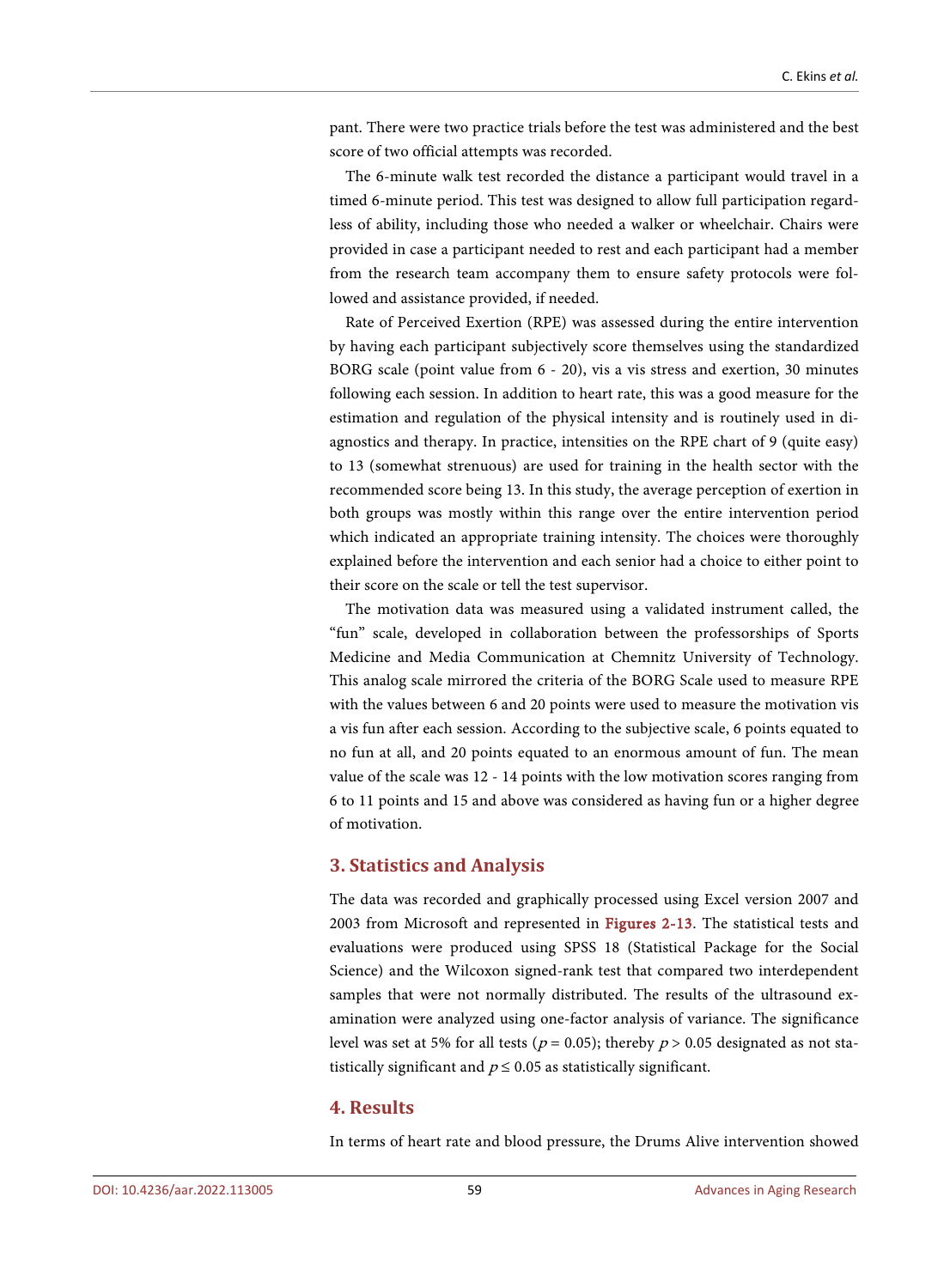pant. There were two practice trials before the test was administered and the best score of two official attempts was recorded.

The 6-minute walk test recorded the distance a participant would travel in a timed 6-minute period. This test was designed to allow full participation regardless of ability, including those who needed a walker or wheelchair. Chairs were provided in case a participant needed to rest and each participant had a member from the research team accompany them to ensure safety protocols were followed and assistance provided, if needed.

Rate of Perceived Exertion (RPE) was assessed during the entire intervention by having each participant subjectively score themselves using the standardized BORG scale (point value from 6 - 20), vis a vis stress and exertion, 30 minutes following each session. In addition to heart rate, this was a good measure for the estimation and regulation of the physical intensity and is routinely used in diagnostics and therapy. In practice, intensities on the RPE chart of 9 (quite easy) to 13 (somewhat strenuous) are used for training in the health sector with the recommended score being 13. In this study, the average perception of exertion in both groups was mostly within this range over the entire intervention period which indicated an appropriate training intensity. The choices were thoroughly explained before the intervention and each senior had a choice to either point to their score on the scale or tell the test supervisor.

The motivation data was measured using a validated instrument called, the "fun" scale, developed in collaboration between the professorships of Sports Medicine and Media Communication at Chemnitz University of Technology. This analog scale mirrored the criteria of the BORG Scale used to measure RPE with the values between 6 and 20 points were used to measure the motivation vis a vis fun after each session. According to the subjective scale, 6 points equated to no fun at all, and 20 points equated to an enormous amount of fun. The mean value of the scale was 12 - 14 points with the low motivation scores ranging from 6 to 11 points and 15 and above was considered as having fun or a higher degree of motivation.

#### **3. Statistics and Analysis**

The data was recorded and graphically processed using Excel version 2007 and 2003 from Microsoft and represented in [Figures 2-13.](#page-9-0) The statistical tests and evaluations were produced using SPSS 18 (Statistical Package for the Social Science) and the Wilcoxon signed-rank test that compared two interdependent samples that were not normally distributed. The results of the ultrasound examination were analyzed using one-factor analysis of variance. The significance level was set at 5% for all tests ( $p = 0.05$ ); thereby  $p > 0.05$  designated as not statistically significant and  $p \le 0.05$  as statistically significant.

## **4. Results**

In terms of heart rate and blood pressure, the Drums Alive intervention showed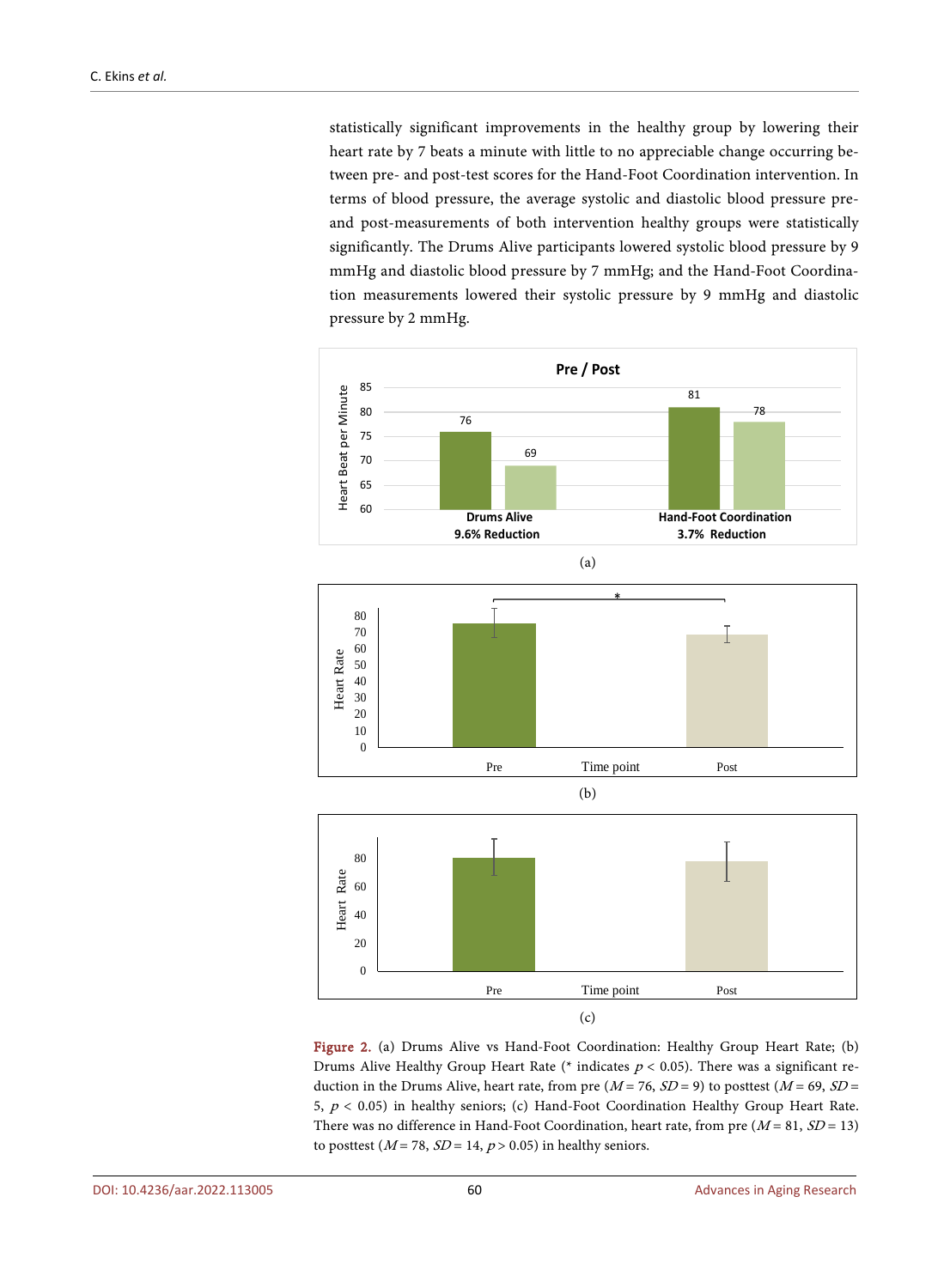statistically significant improvements in the healthy group by lowering their heart rate by 7 beats a minute with little to no appreciable change occurring between pre- and post-test scores for the Hand-Foot Coordination intervention. In terms of blood pressure, the average systolic and diastolic blood pressure preand post-measurements of both intervention healthy groups were statistically significantly. The Drums Alive participants lowered systolic blood pressure by 9 mmHg and diastolic blood pressure by 7 mmHg; and the Hand-Foot Coordination measurements lowered their systolic pressure by 9 mmHg and diastolic pressure by 2 mmHg.

<span id="page-9-0"></span>





Figure 2. (a) Drums Alive vs Hand-Foot Coordination: Healthy Group Heart Rate; (b) Drums Alive Healthy Group Heart Rate (\* indicates  $p < 0.05$ ). There was a significant reduction in the Drums Alive, heart rate, from pre ( $M = 76$ ,  $SD = 9$ ) to posttest ( $M = 69$ ,  $SD =$ 5,  $p < 0.05$ ) in healthy seniors; (c) Hand-Foot Coordination Healthy Group Heart Rate. There was no difference in Hand-Foot Coordination, heart rate, from pre  $(M = 81, SD = 13)$ to posttest ( $M = 78$ ,  $SD = 14$ ,  $p > 0.05$ ) in healthy seniors.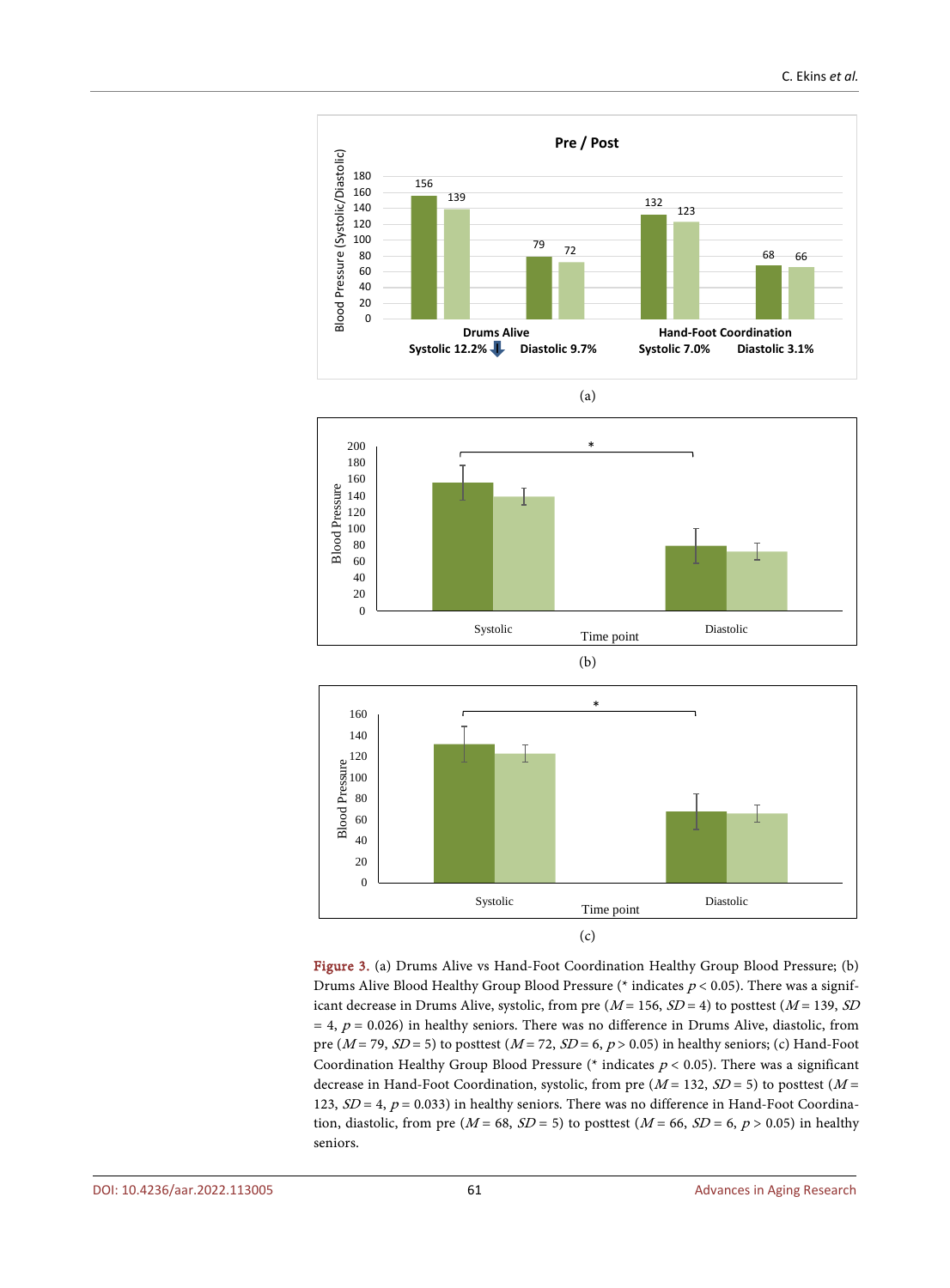





Figure 3. (a) Drums Alive vs Hand-Foot Coordination Healthy Group Blood Pressure; (b) Drums Alive Blood Healthy Group Blood Pressure (\* indicates  $p < 0.05$ ). There was a significant decrease in Drums Alive, systolic, from pre  $(M = 156, SD = 4)$  to posttest  $(M = 139, SD)$  $= 4$ ,  $p = 0.026$ ) in healthy seniors. There was no difference in Drums Alive, diastolic, from pre ( $M = 79$ ,  $SD = 5$ ) to posttest ( $M = 72$ ,  $SD = 6$ ,  $p > 0.05$ ) in healthy seniors; (c) Hand-Foot Coordination Healthy Group Blood Pressure (\* indicates  $p < 0.05$ ). There was a significant decrease in Hand-Foot Coordination, systolic, from pre ( $M = 132$ ,  $SD = 5$ ) to posttest ( $M =$ 123,  $SD = 4$ ,  $p = 0.033$ ) in healthy seniors. There was no difference in Hand-Foot Coordination, diastolic, from pre ( $M = 68$ ,  $SD = 5$ ) to posttest ( $M = 66$ ,  $SD = 6$ ,  $p > 0.05$ ) in healthy seniors.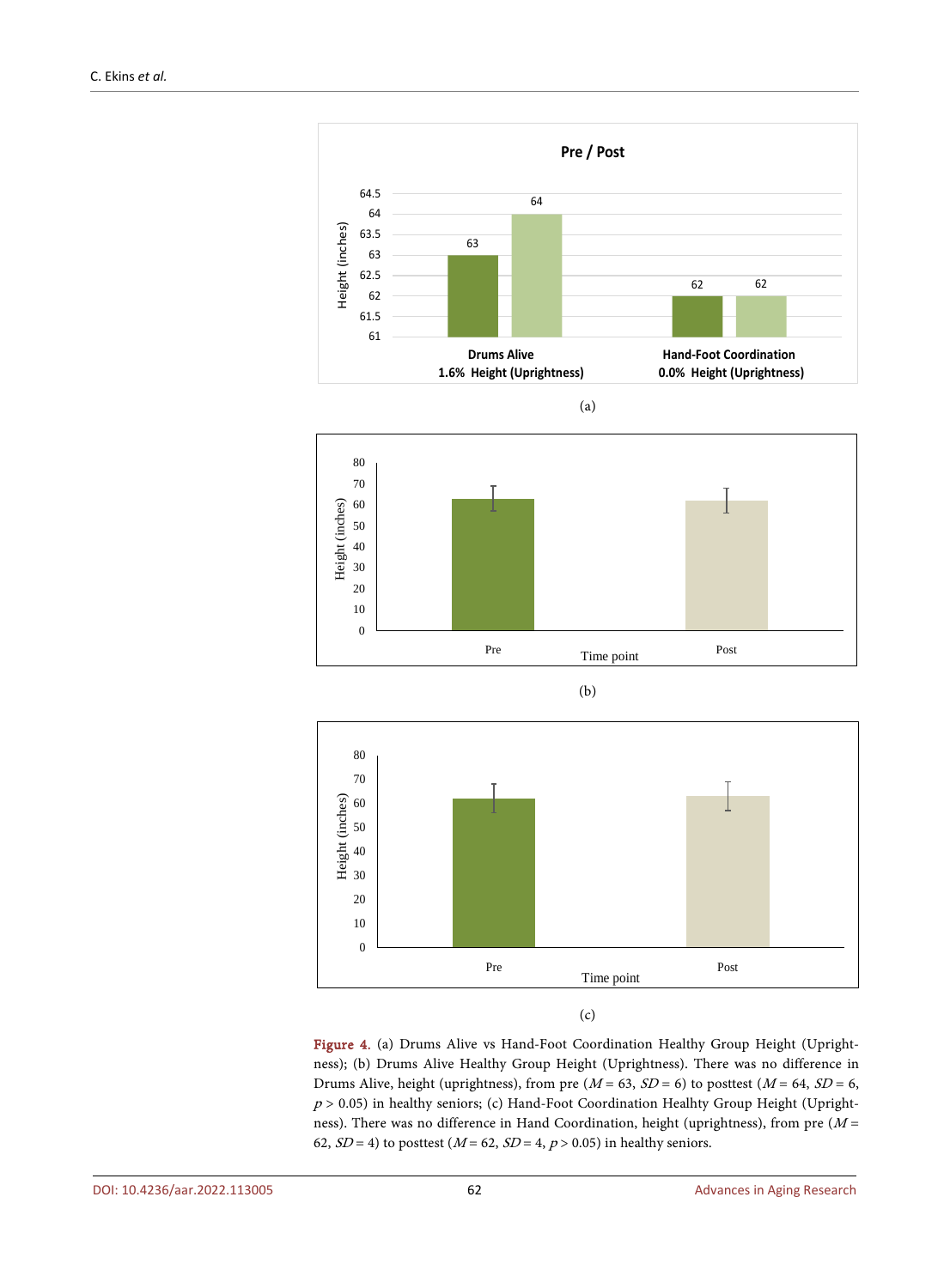







(c)

Figure 4. (a) Drums Alive vs Hand-Foot Coordination Healthy Group Height (Uprightness); (b) Drums Alive Healthy Group Height (Uprightness). There was no difference in Drums Alive, height (uprightness), from pre  $(M = 63, SD = 6)$  to posttest  $(M = 64, SD = 6,$  $p > 0.05$ ) in healthy seniors; (c) Hand-Foot Coordination Healhty Group Height (Uprightness). There was no difference in Hand Coordination, height (uprightness), from pre  $(M =$ 62,  $SD = 4$ ) to posttest ( $M = 62$ ,  $SD = 4$ ,  $p > 0.05$ ) in healthy seniors.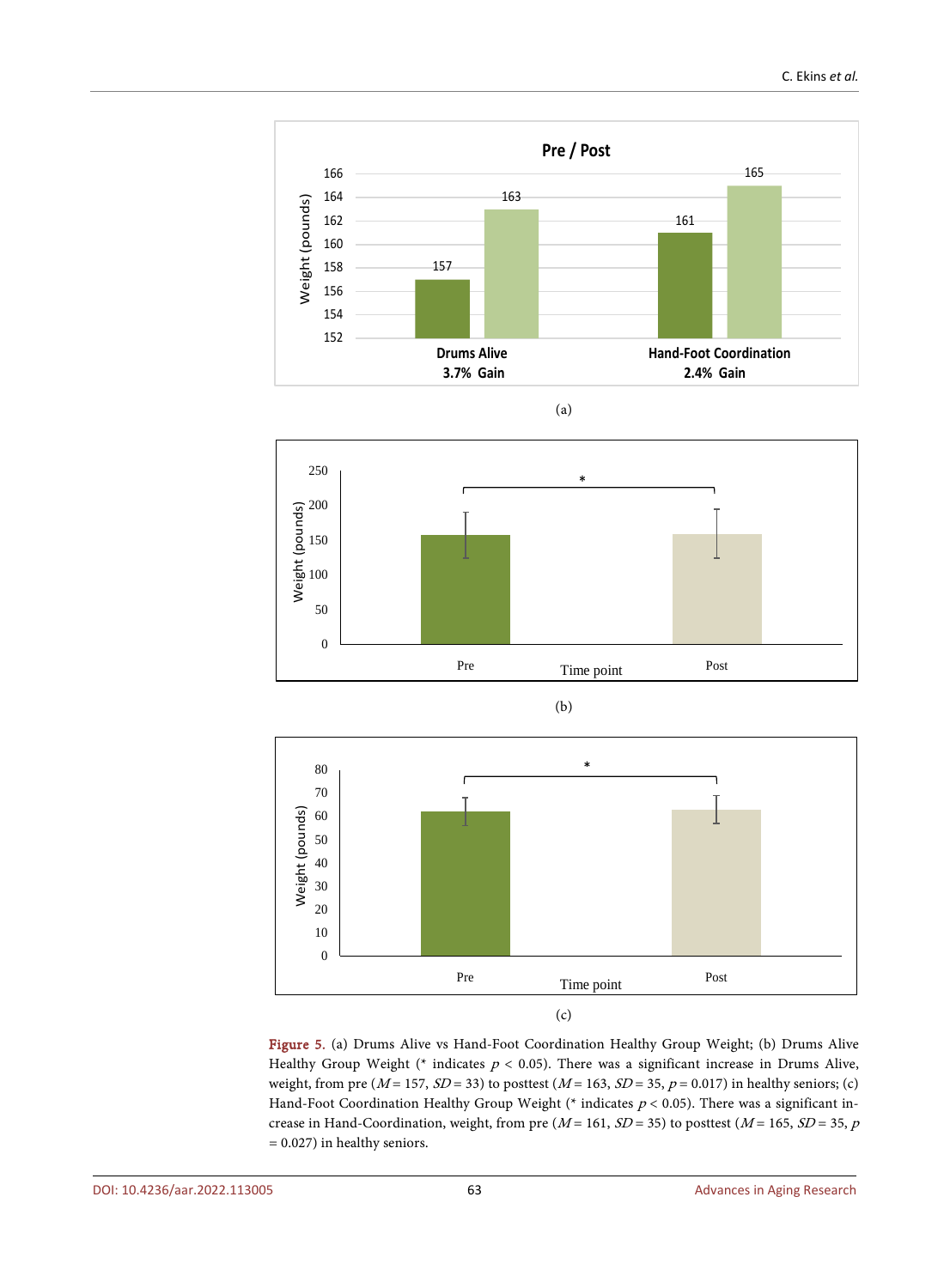









Figure 5. (a) Drums Alive vs Hand-Foot Coordination Healthy Group Weight; (b) Drums Alive Healthy Group Weight (\* indicates  $p < 0.05$ ). There was a significant increase in Drums Alive, weight, from pre ( $M = 157$ ,  $SD = 33$ ) to posttest ( $M = 163$ ,  $SD = 35$ ,  $p = 0.017$ ) in healthy seniors; (c) Hand-Foot Coordination Healthy Group Weight (\* indicates  $p < 0.05$ ). There was a significant increase in Hand-Coordination, weight, from pre  $(M = 161, SD = 35)$  to posttest  $(M = 165, SD = 35, p$ = 0.027) in healthy seniors.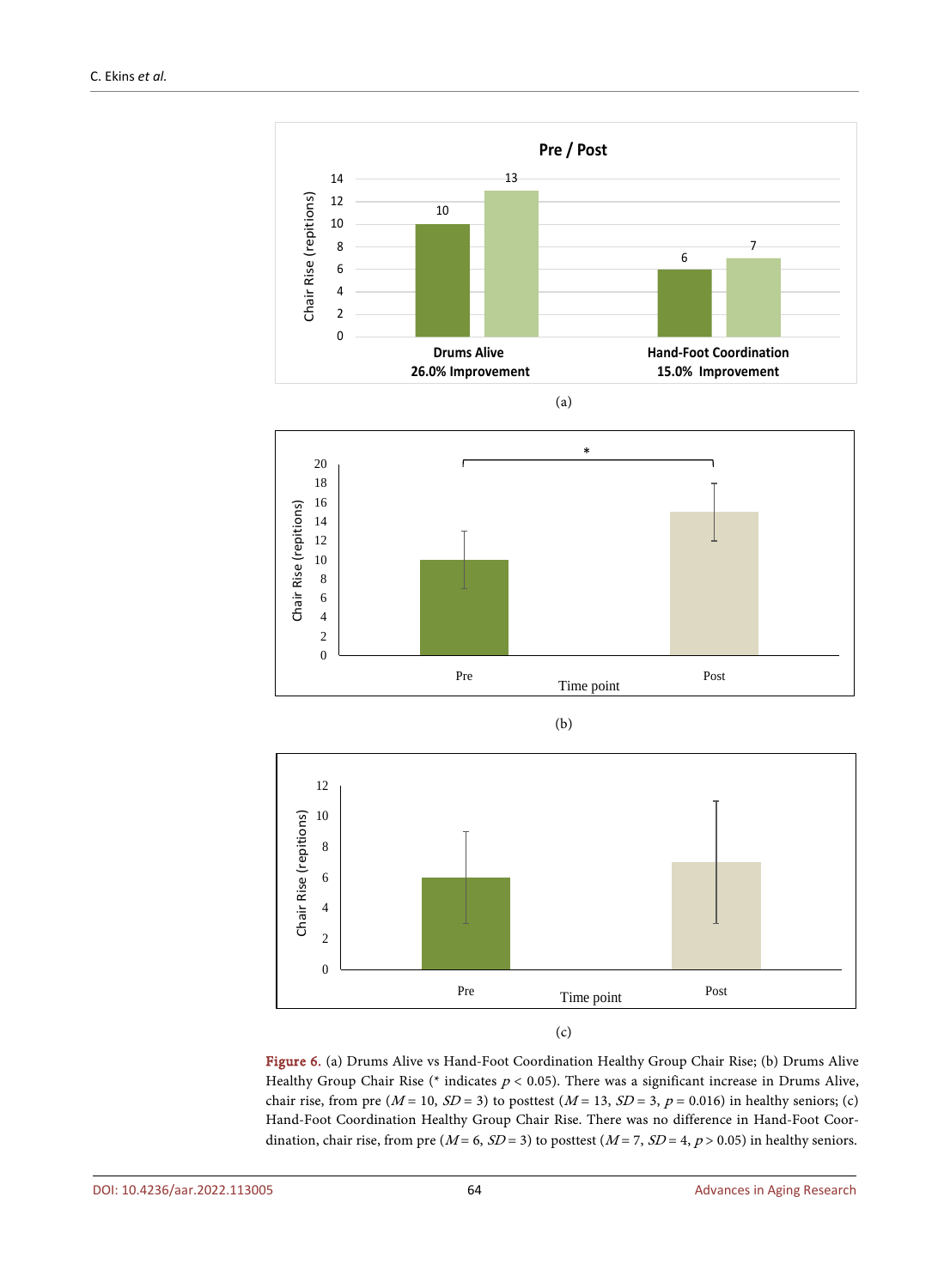

$$
f_{\rm{max}}
$$







Figure 6. (a) Drums Alive vs Hand-Foot Coordination Healthy Group Chair Rise; (b) Drums Alive Healthy Group Chair Rise (\* indicates  $p < 0.05$ ). There was a significant increase in Drums Alive, chair rise, from pre ( $M = 10$ ,  $SD = 3$ ) to posttest ( $M = 13$ ,  $SD = 3$ ,  $p = 0.016$ ) in healthy seniors; (c) Hand-Foot Coordination Healthy Group Chair Rise. There was no difference in Hand-Foot Coordination, chair rise, from pre ( $M = 6$ ,  $SD = 3$ ) to posttest ( $M = 7$ ,  $SD = 4$ ,  $p > 0.05$ ) in healthy seniors.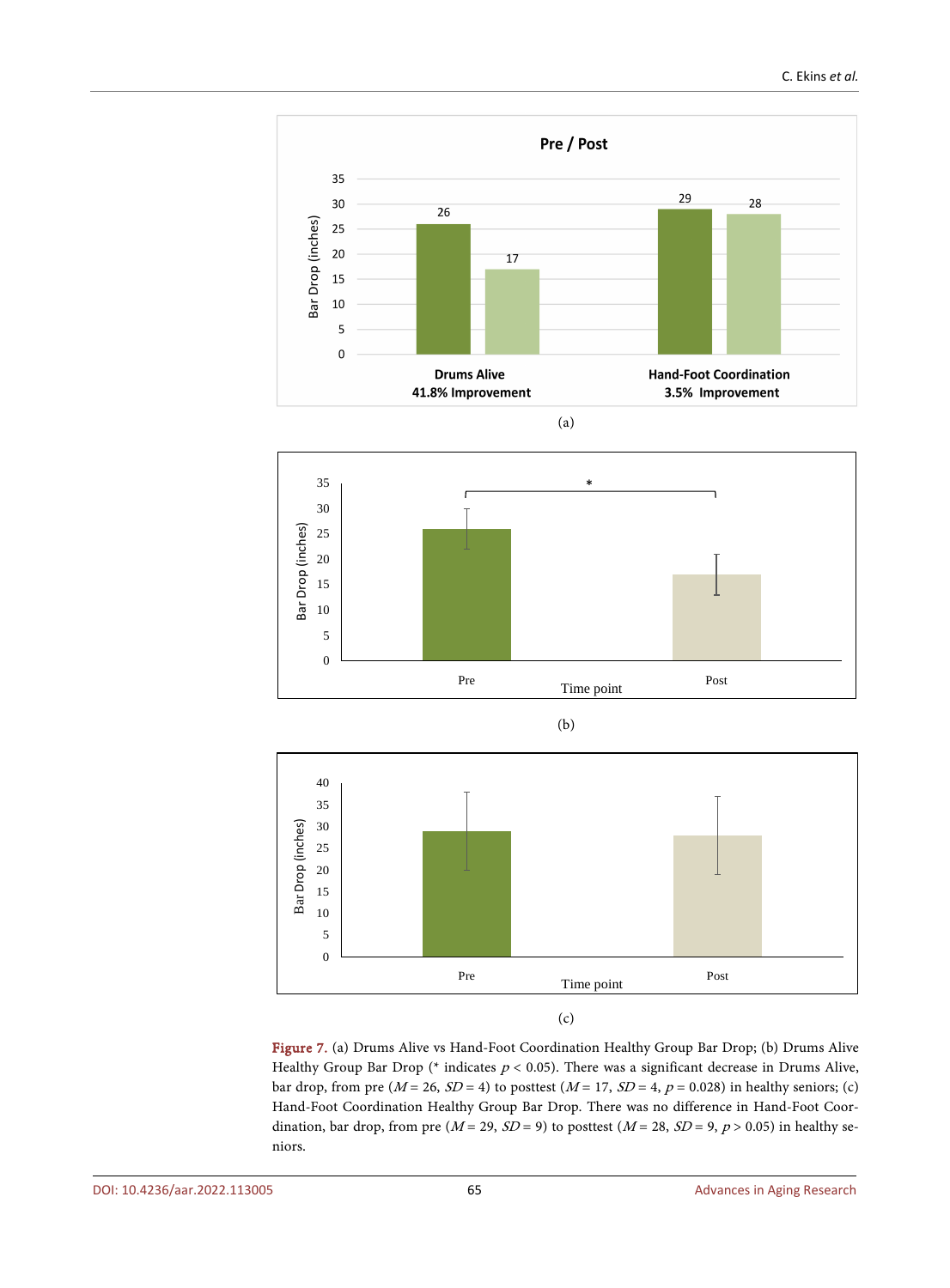







Figure 7. (a) Drums Alive vs Hand-Foot Coordination Healthy Group Bar Drop; (b) Drums Alive Healthy Group Bar Drop (\* indicates  $p < 0.05$ ). There was a significant decrease in Drums Alive, bar drop, from pre ( $M = 26$ ,  $SD = 4$ ) to posttest ( $M = 17$ ,  $SD = 4$ ,  $p = 0.028$ ) in healthy seniors; (c) Hand-Foot Coordination Healthy Group Bar Drop. There was no difference in Hand-Foot Coordination, bar drop, from pre ( $M = 29$ ,  $SD = 9$ ) to posttest ( $M = 28$ ,  $SD = 9$ ,  $p > 0.05$ ) in healthy seniors.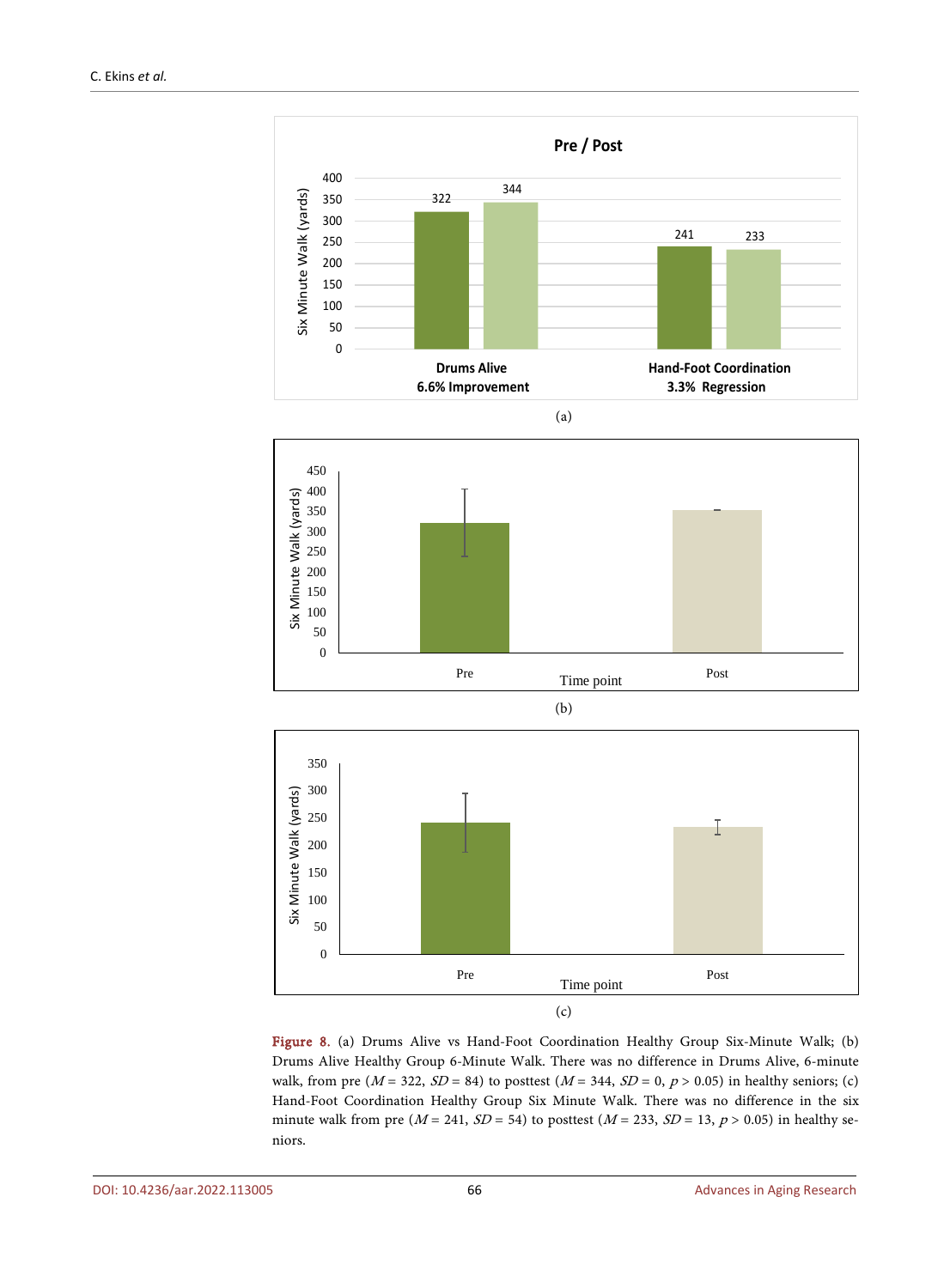







Figure 8. (a) Drums Alive vs Hand-Foot Coordination Healthy Group Six-Minute Walk; (b) Drums Alive Healthy Group 6-Minute Walk. There was no difference in Drums Alive, 6-minute walk, from pre  $(M = 322, SD = 84)$  to posttest  $(M = 344, SD = 0, p > 0.05)$  in healthy seniors; (c) Hand-Foot Coordination Healthy Group Six Minute Walk. There was no difference in the six minute walk from pre ( $M = 241$ ,  $SD = 54$ ) to posttest ( $M = 233$ ,  $SD = 13$ ,  $p > 0.05$ ) in healthy seniors.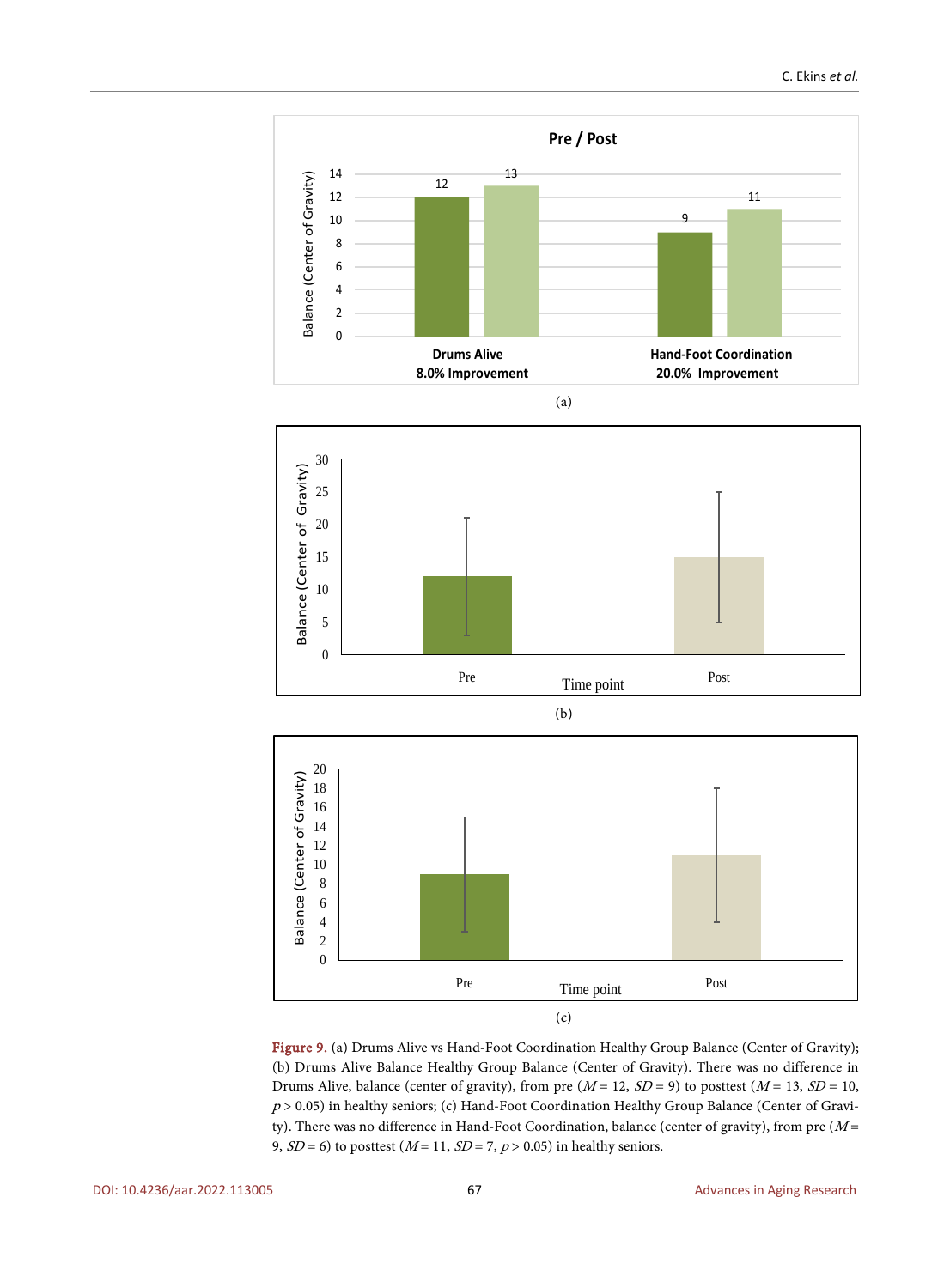





Figure 9. (a) Drums Alive vs Hand-Foot Coordination Healthy Group Balance (Center of Gravity); (b) Drums Alive Balance Healthy Group Balance (Center of Gravity). There was no difference in Drums Alive, balance (center of gravity), from pre  $(M = 12, SD = 9)$  to posttest  $(M = 13, SD = 10,$  $p > 0.05$ ) in healthy seniors; (c) Hand-Foot Coordination Healthy Group Balance (Center of Gravity). There was no difference in Hand-Foot Coordination, balance (center of gravity), from pre  $(M =$ 9,  $SD = 6$ ) to posttest ( $M = 11$ ,  $SD = 7$ ,  $p > 0.05$ ) in healthy seniors.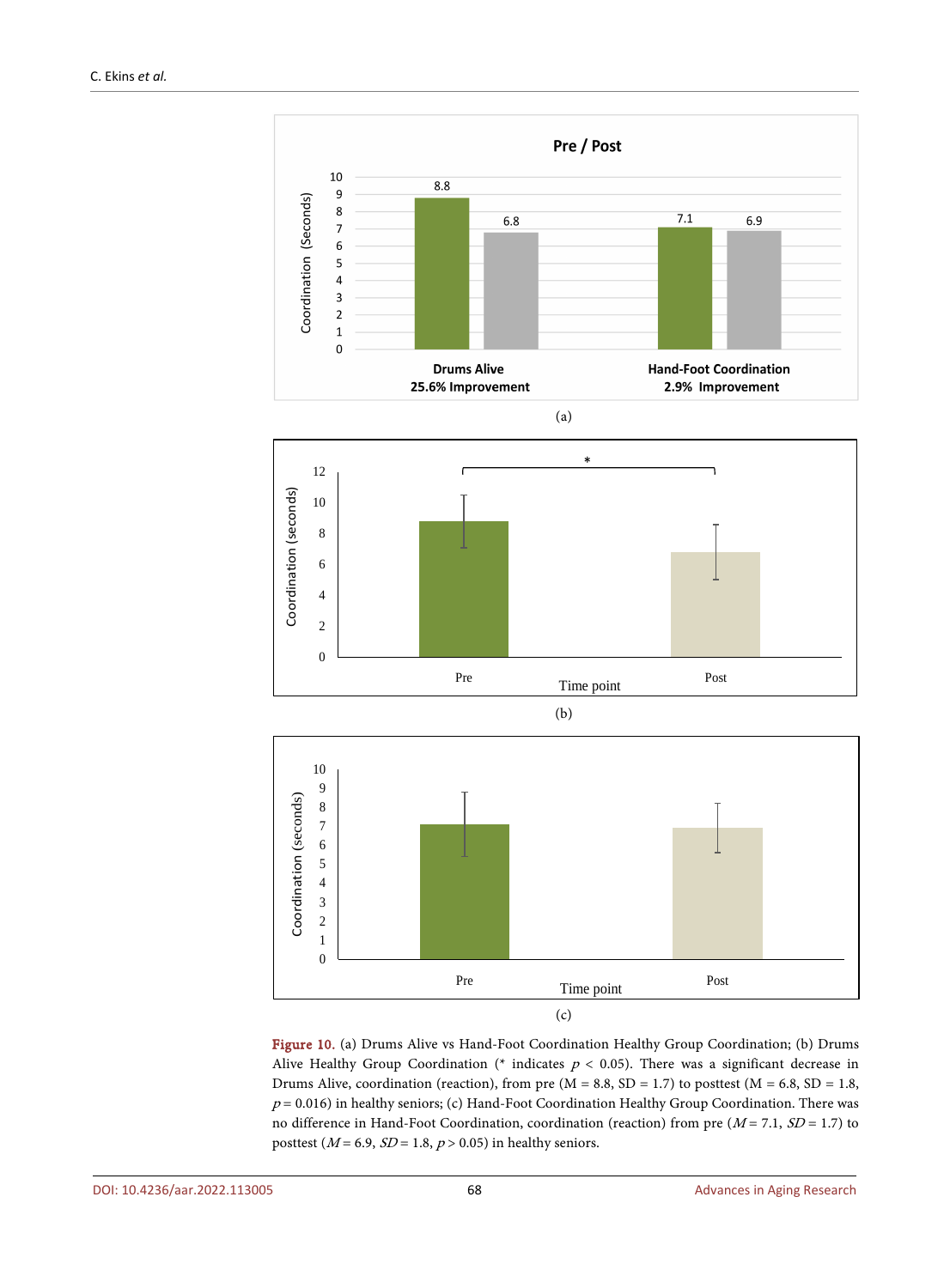

Figure 10. (a) Drums Alive vs Hand-Foot Coordination Healthy Group Coordination; (b) Drums Alive Healthy Group Coordination (\* indicates  $p < 0.05$ ). There was a significant decrease in Drums Alive, coordination (reaction), from pre  $(M = 8.8, SD = 1.7)$  to posttest  $(M = 6.8, SD = 1.8,$  $p = 0.016$ ) in healthy seniors; (c) Hand-Foot Coordination Healthy Group Coordination. There was no difference in Hand-Foot Coordination, coordination (reaction) from pre  $(M = 7.1, SD = 1.7)$  to posttest ( $M = 6.9$ ,  $SD = 1.8$ ,  $p > 0.05$ ) in healthy seniors.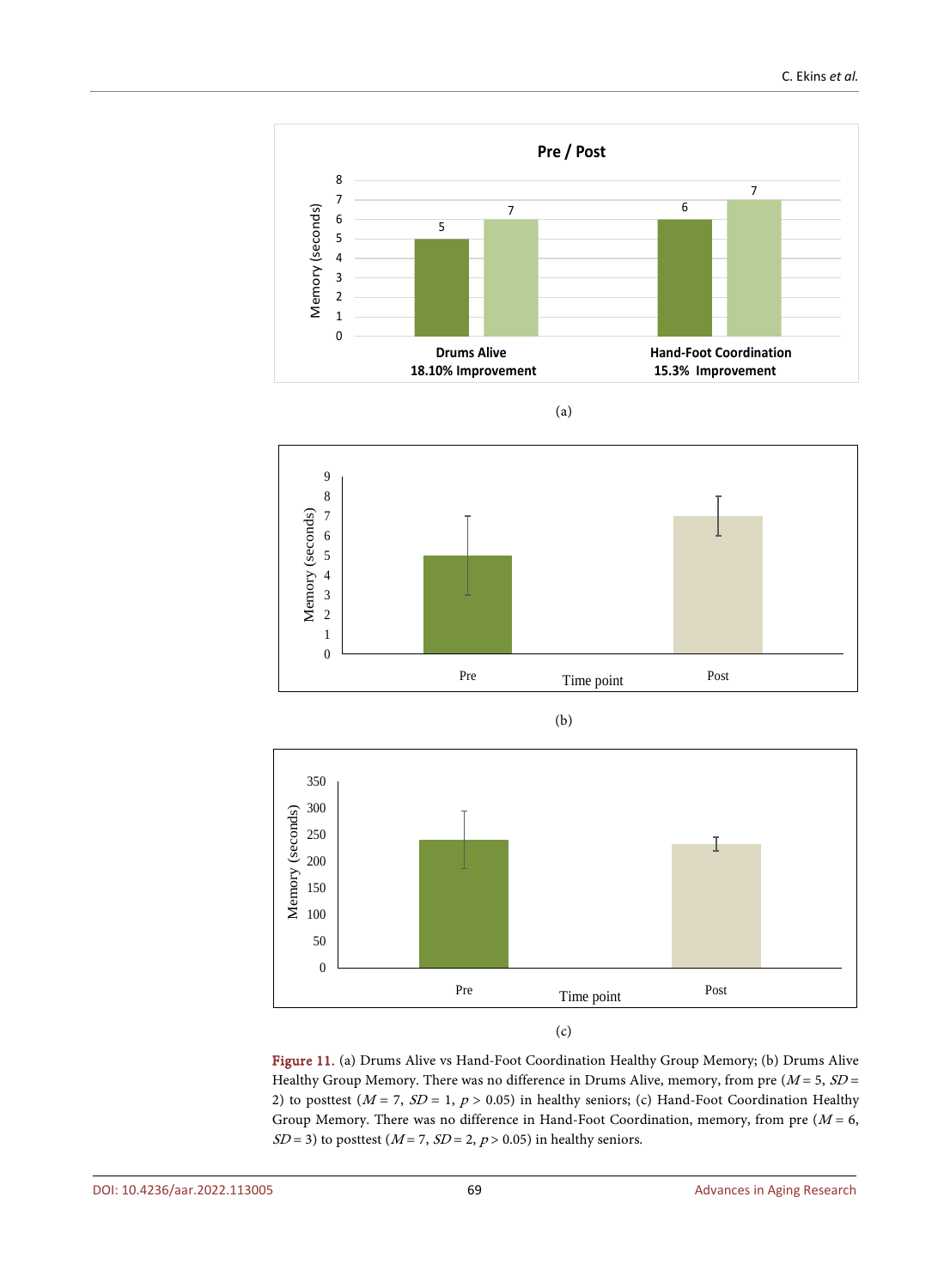

(a)







Figure 11. (a) Drums Alive vs Hand-Foot Coordination Healthy Group Memory; (b) Drums Alive Healthy Group Memory. There was no difference in Drums Alive, memory, from pre  $(M = 5, SD =$ 2) to posttest ( $M = 7$ ,  $SD = 1$ ,  $p > 0.05$ ) in healthy seniors; (c) Hand-Foot Coordination Healthy Group Memory. There was no difference in Hand-Foot Coordination, memory, from pre  $(M = 6,$  $SD = 3$ ) to posttest ( $M = 7$ ,  $SD = 2$ ,  $p > 0.05$ ) in healthy seniors.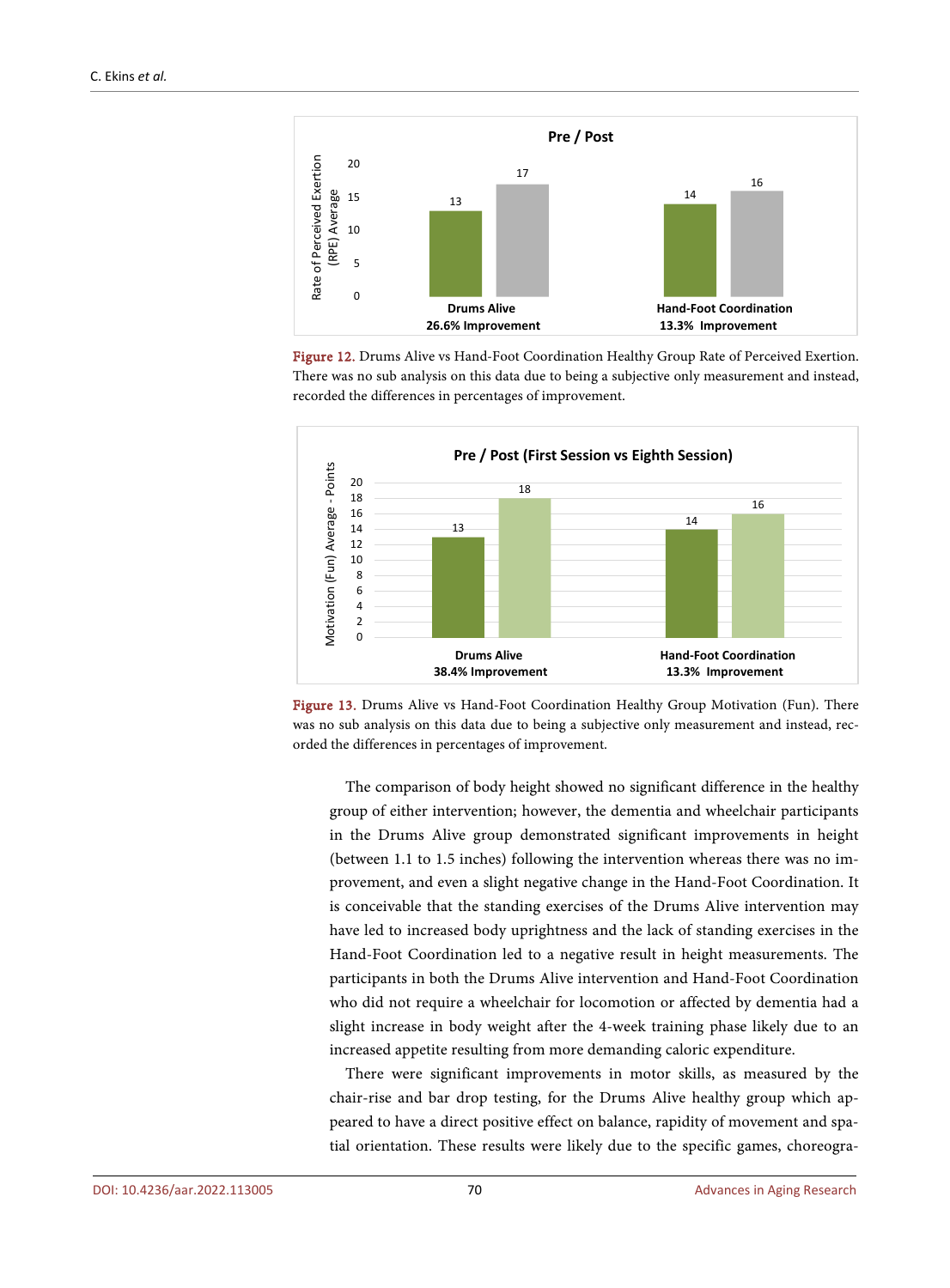

Figure 12. Drums Alive vs Hand-Foot Coordination Healthy Group Rate of Perceived Exertion. There was no sub analysis on this data due to being a subjective only measurement and instead, recorded the differences in percentages of improvement.





The comparison of body height showed no significant difference in the healthy group of either intervention; however, the dementia and wheelchair participants in the Drums Alive group demonstrated significant improvements in height (between 1.1 to 1.5 inches) following the intervention whereas there was no improvement, and even a slight negative change in the Hand-Foot Coordination. It is conceivable that the standing exercises of the Drums Alive intervention may have led to increased body uprightness and the lack of standing exercises in the Hand-Foot Coordination led to a negative result in height measurements. The participants in both the Drums Alive intervention and Hand-Foot Coordination who did not require a wheelchair for locomotion or affected by dementia had a slight increase in body weight after the 4-week training phase likely due to an increased appetite resulting from more demanding caloric expenditure.

There were significant improvements in motor skills, as measured by the chair-rise and bar drop testing, for the Drums Alive healthy group which appeared to have a direct positive effect on balance, rapidity of movement and spatial orientation. These results were likely due to the specific games, choreogra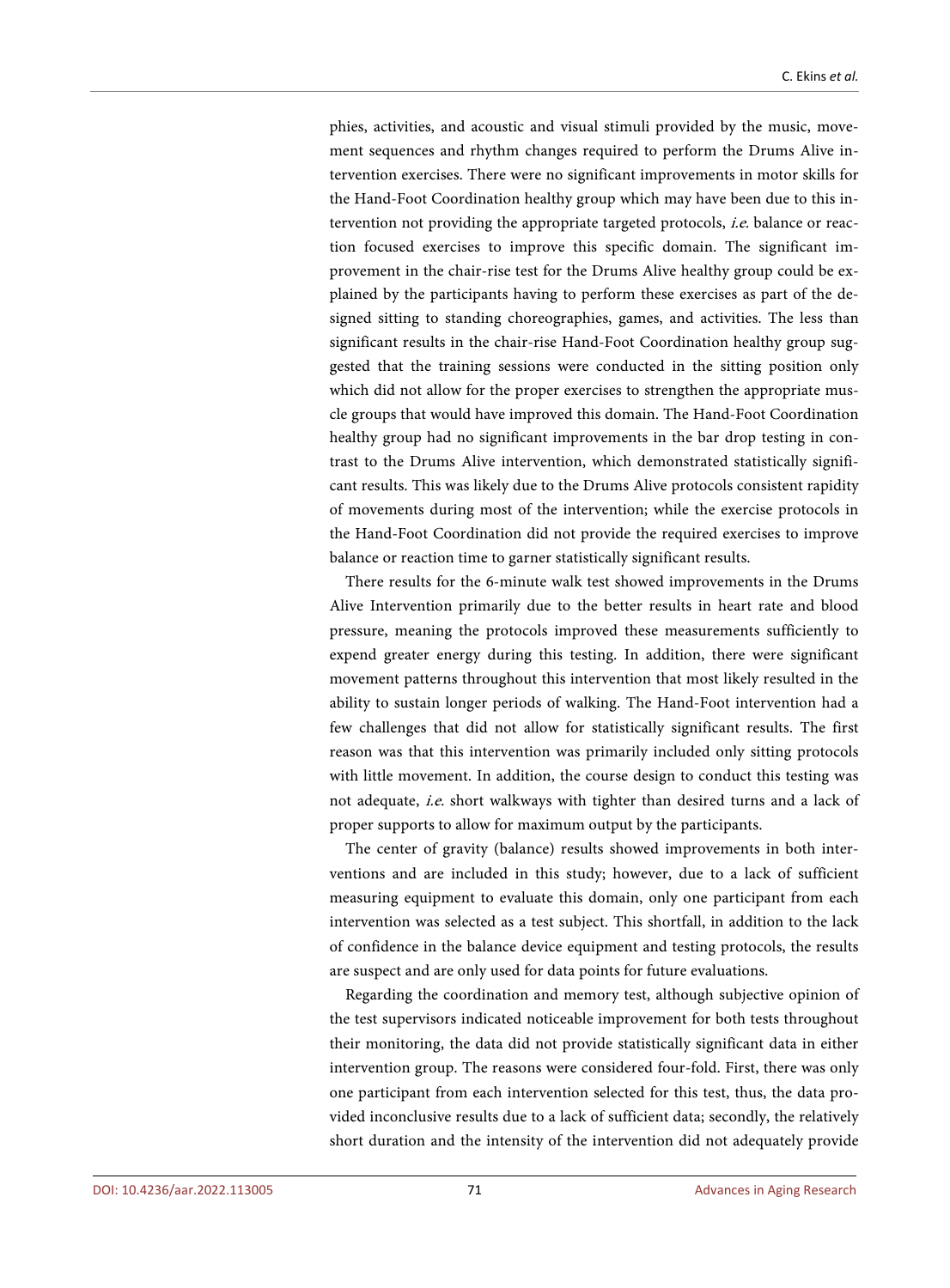phies, activities, and acoustic and visual stimuli provided by the music, movement sequences and rhythm changes required to perform the Drums Alive intervention exercises. There were no significant improvements in motor skills for the Hand-Foot Coordination healthy group which may have been due to this intervention not providing the appropriate targeted protocols, i.e. balance or reaction focused exercises to improve this specific domain. The significant improvement in the chair-rise test for the Drums Alive healthy group could be explained by the participants having to perform these exercises as part of the designed sitting to standing choreographies, games, and activities. The less than significant results in the chair-rise Hand-Foot Coordination healthy group suggested that the training sessions were conducted in the sitting position only which did not allow for the proper exercises to strengthen the appropriate muscle groups that would have improved this domain. The Hand-Foot Coordination healthy group had no significant improvements in the bar drop testing in contrast to the Drums Alive intervention, which demonstrated statistically significant results. This was likely due to the Drums Alive protocols consistent rapidity of movements during most of the intervention; while the exercise protocols in the Hand-Foot Coordination did not provide the required exercises to improve balance or reaction time to garner statistically significant results.

There results for the 6-minute walk test showed improvements in the Drums Alive Intervention primarily due to the better results in heart rate and blood pressure, meaning the protocols improved these measurements sufficiently to expend greater energy during this testing. In addition, there were significant movement patterns throughout this intervention that most likely resulted in the ability to sustain longer periods of walking. The Hand-Foot intervention had a few challenges that did not allow for statistically significant results. The first reason was that this intervention was primarily included only sitting protocols with little movement. In addition, the course design to conduct this testing was not adequate, i.e. short walkways with tighter than desired turns and a lack of proper supports to allow for maximum output by the participants.

The center of gravity (balance) results showed improvements in both interventions and are included in this study; however, due to a lack of sufficient measuring equipment to evaluate this domain, only one participant from each intervention was selected as a test subject. This shortfall, in addition to the lack of confidence in the balance device equipment and testing protocols, the results are suspect and are only used for data points for future evaluations.

Regarding the coordination and memory test, although subjective opinion of the test supervisors indicated noticeable improvement for both tests throughout their monitoring, the data did not provide statistically significant data in either intervention group. The reasons were considered four-fold. First, there was only one participant from each intervention selected for this test, thus, the data provided inconclusive results due to a lack of sufficient data; secondly, the relatively short duration and the intensity of the intervention did not adequately provide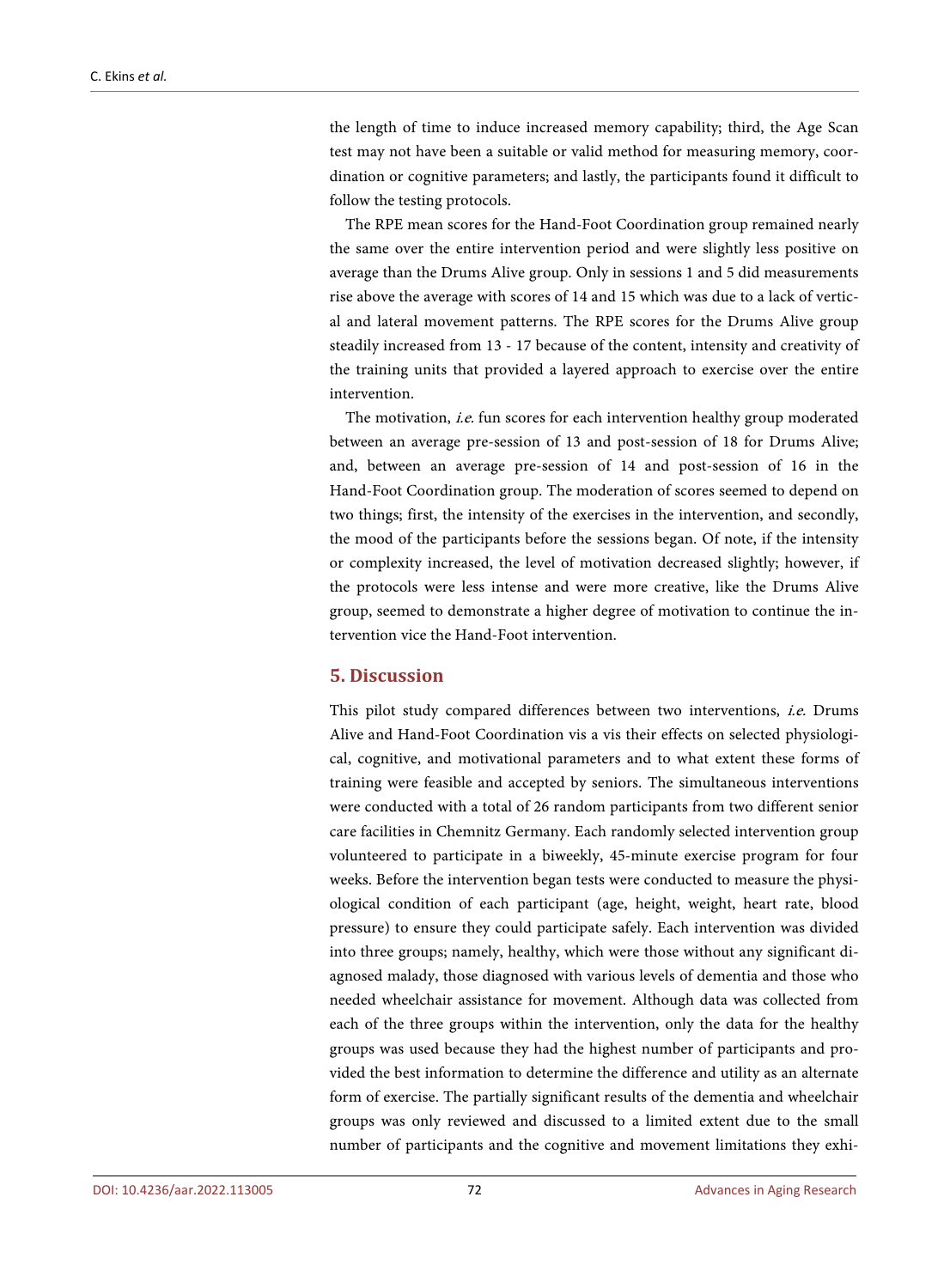the length of time to induce increased memory capability; third, the Age Scan test may not have been a suitable or valid method for measuring memory, coordination or cognitive parameters; and lastly, the participants found it difficult to follow the testing protocols.

The RPE mean scores for the Hand-Foot Coordination group remained nearly the same over the entire intervention period and were slightly less positive on average than the Drums Alive group. Only in sessions 1 and 5 did measurements rise above the average with scores of 14 and 15 which was due to a lack of vertical and lateral movement patterns. The RPE scores for the Drums Alive group steadily increased from 13 - 17 because of the content, intensity and creativity of the training units that provided a layered approach to exercise over the entire intervention.

The motivation, *i.e.* fun scores for each intervention healthy group moderated between an average pre-session of 13 and post-session of 18 for Drums Alive; and, between an average pre-session of 14 and post-session of 16 in the Hand-Foot Coordination group. The moderation of scores seemed to depend on two things; first, the intensity of the exercises in the intervention, and secondly, the mood of the participants before the sessions began. Of note, if the intensity or complexity increased, the level of motivation decreased slightly; however, if the protocols were less intense and were more creative, like the Drums Alive group, seemed to demonstrate a higher degree of motivation to continue the intervention vice the Hand-Foot intervention.

## **5. Discussion**

This pilot study compared differences between two interventions, i.e. Drums Alive and Hand-Foot Coordination vis a vis their effects on selected physiological, cognitive, and motivational parameters and to what extent these forms of training were feasible and accepted by seniors. The simultaneous interventions were conducted with a total of 26 random participants from two different senior care facilities in Chemnitz Germany. Each randomly selected intervention group volunteered to participate in a biweekly, 45-minute exercise program for four weeks. Before the intervention began tests were conducted to measure the physiological condition of each participant (age, height, weight, heart rate, blood pressure) to ensure they could participate safely. Each intervention was divided into three groups; namely, healthy, which were those without any significant diagnosed malady, those diagnosed with various levels of dementia and those who needed wheelchair assistance for movement. Although data was collected from each of the three groups within the intervention, only the data for the healthy groups was used because they had the highest number of participants and provided the best information to determine the difference and utility as an alternate form of exercise. The partially significant results of the dementia and wheelchair groups was only reviewed and discussed to a limited extent due to the small number of participants and the cognitive and movement limitations they exhi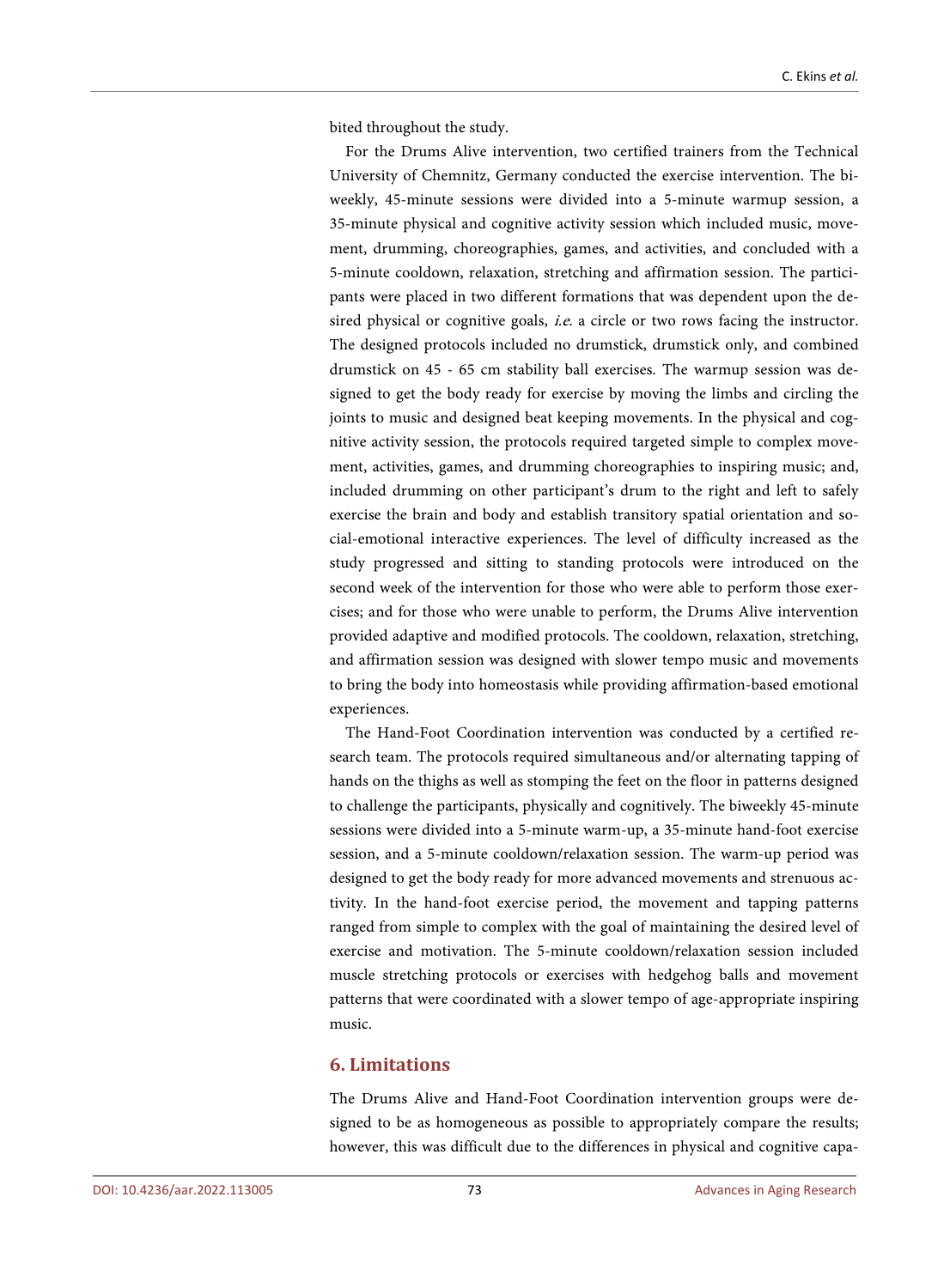bited throughout the study.

For the Drums Alive intervention, two certified trainers from the Technical University of Chemnitz, Germany conducted the exercise intervention. The biweekly, 45-minute sessions were divided into a 5-minute warmup session, a 35-minute physical and cognitive activity session which included music, movement, drumming, choreographies, games, and activities, and concluded with a 5-minute cooldown, relaxation, stretching and affirmation session. The participants were placed in two different formations that was dependent upon the desired physical or cognitive goals, *i.e.* a circle or two rows facing the instructor. The designed protocols included no drumstick, drumstick only, and combined drumstick on 45 - 65 cm stability ball exercises. The warmup session was designed to get the body ready for exercise by moving the limbs and circling the joints to music and designed beat keeping movements. In the physical and cognitive activity session, the protocols required targeted simple to complex movement, activities, games, and drumming choreographies to inspiring music; and, included drumming on other participant's drum to the right and left to safely exercise the brain and body and establish transitory spatial orientation and social-emotional interactive experiences. The level of difficulty increased as the study progressed and sitting to standing protocols were introduced on the second week of the intervention for those who were able to perform those exercises; and for those who were unable to perform, the Drums Alive intervention provided adaptive and modified protocols. The cooldown, relaxation, stretching, and affirmation session was designed with slower tempo music and movements to bring the body into homeostasis while providing affirmation-based emotional experiences.

The Hand-Foot Coordination intervention was conducted by a certified research team. The protocols required simultaneous and/or alternating tapping of hands on the thighs as well as stomping the feet on the floor in patterns designed to challenge the participants, physically and cognitively. The biweekly 45-minute sessions were divided into a 5-minute warm-up, a 35-minute hand-foot exercise session, and a 5-minute cooldown/relaxation session. The warm-up period was designed to get the body ready for more advanced movements and strenuous activity. In the hand-foot exercise period, the movement and tapping patterns ranged from simple to complex with the goal of maintaining the desired level of exercise and motivation. The 5-minute cooldown/relaxation session included muscle stretching protocols or exercises with hedgehog balls and movement patterns that were coordinated with a slower tempo of age-appropriate inspiring music.

# **6. Limitations**

The Drums Alive and Hand-Foot Coordination intervention groups were designed to be as homogeneous as possible to appropriately compare the results; however, this was difficult due to the differences in physical and cognitive capa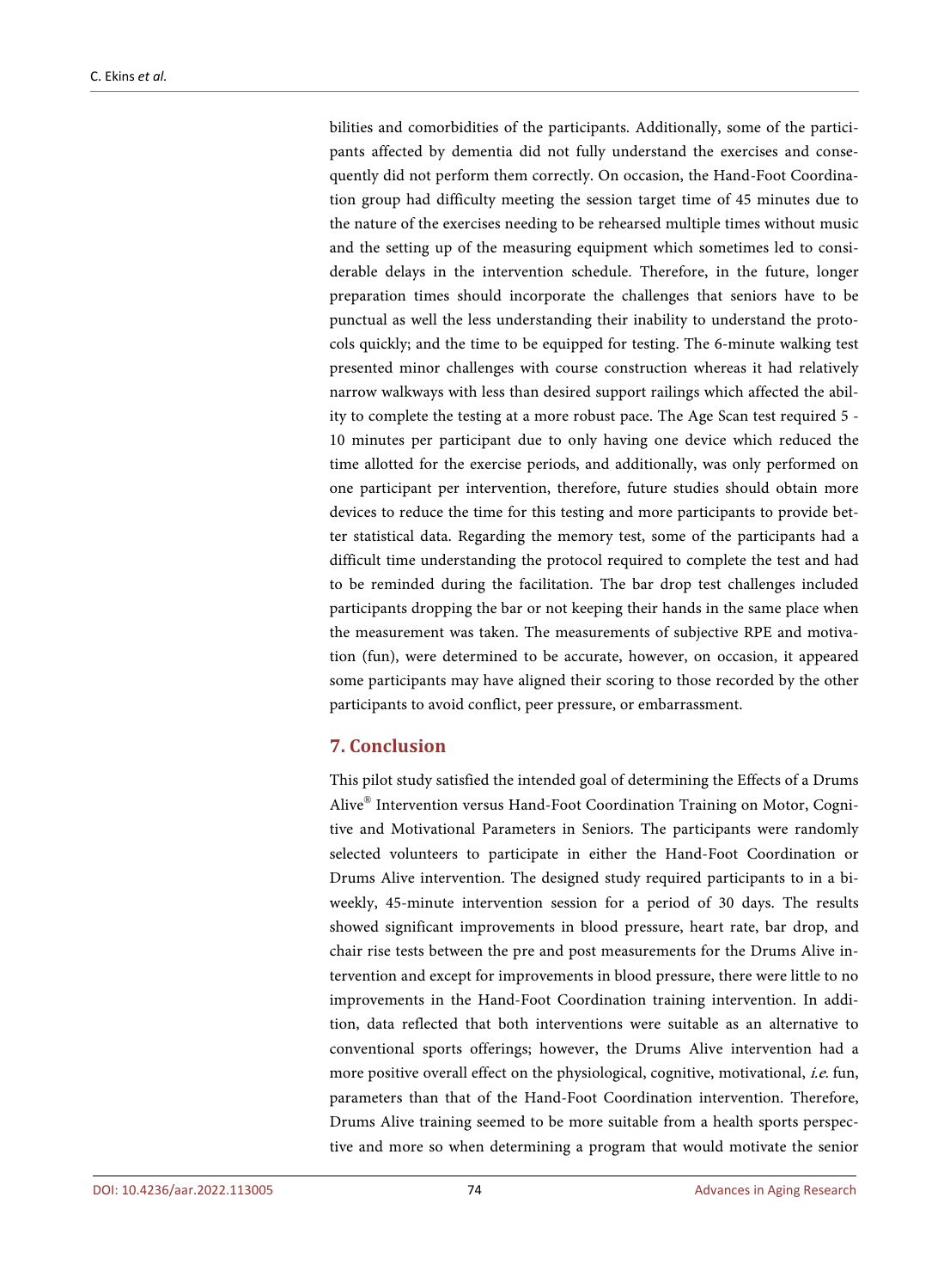bilities and comorbidities of the participants. Additionally, some of the participants affected by dementia did not fully understand the exercises and consequently did not perform them correctly. On occasion, the Hand-Foot Coordination group had difficulty meeting the session target time of 45 minutes due to the nature of the exercises needing to be rehearsed multiple times without music and the setting up of the measuring equipment which sometimes led to considerable delays in the intervention schedule. Therefore, in the future, longer preparation times should incorporate the challenges that seniors have to be punctual as well the less understanding their inability to understand the protocols quickly; and the time to be equipped for testing. The 6-minute walking test presented minor challenges with course construction whereas it had relatively narrow walkways with less than desired support railings which affected the ability to complete the testing at a more robust pace. The Age Scan test required 5 - 10 minutes per participant due to only having one device which reduced the time allotted for the exercise periods, and additionally, was only performed on one participant per intervention, therefore, future studies should obtain more devices to reduce the time for this testing and more participants to provide better statistical data. Regarding the memory test, some of the participants had a difficult time understanding the protocol required to complete the test and had to be reminded during the facilitation. The bar drop test challenges included participants dropping the bar or not keeping their hands in the same place when the measurement was taken. The measurements of subjective RPE and motivation (fun), were determined to be accurate, however, on occasion, it appeared some participants may have aligned their scoring to those recorded by the other participants to avoid conflict, peer pressure, or embarrassment.

# **7. Conclusion**

This pilot study satisfied the intended goal of determining the Effects of a Drums Alive® Intervention versus Hand-Foot Coordination Training on Motor, Cognitive and Motivational Parameters in Seniors. The participants were randomly selected volunteers to participate in either the Hand-Foot Coordination or Drums Alive intervention. The designed study required participants to in a biweekly, 45-minute intervention session for a period of 30 days. The results showed significant improvements in blood pressure, heart rate, bar drop, and chair rise tests between the pre and post measurements for the Drums Alive intervention and except for improvements in blood pressure, there were little to no improvements in the Hand-Foot Coordination training intervention. In addition, data reflected that both interventions were suitable as an alternative to conventional sports offerings; however, the Drums Alive intervention had a more positive overall effect on the physiological, cognitive, motivational, i.e. fun, parameters than that of the Hand-Foot Coordination intervention. Therefore, Drums Alive training seemed to be more suitable from a health sports perspective and more so when determining a program that would motivate the senior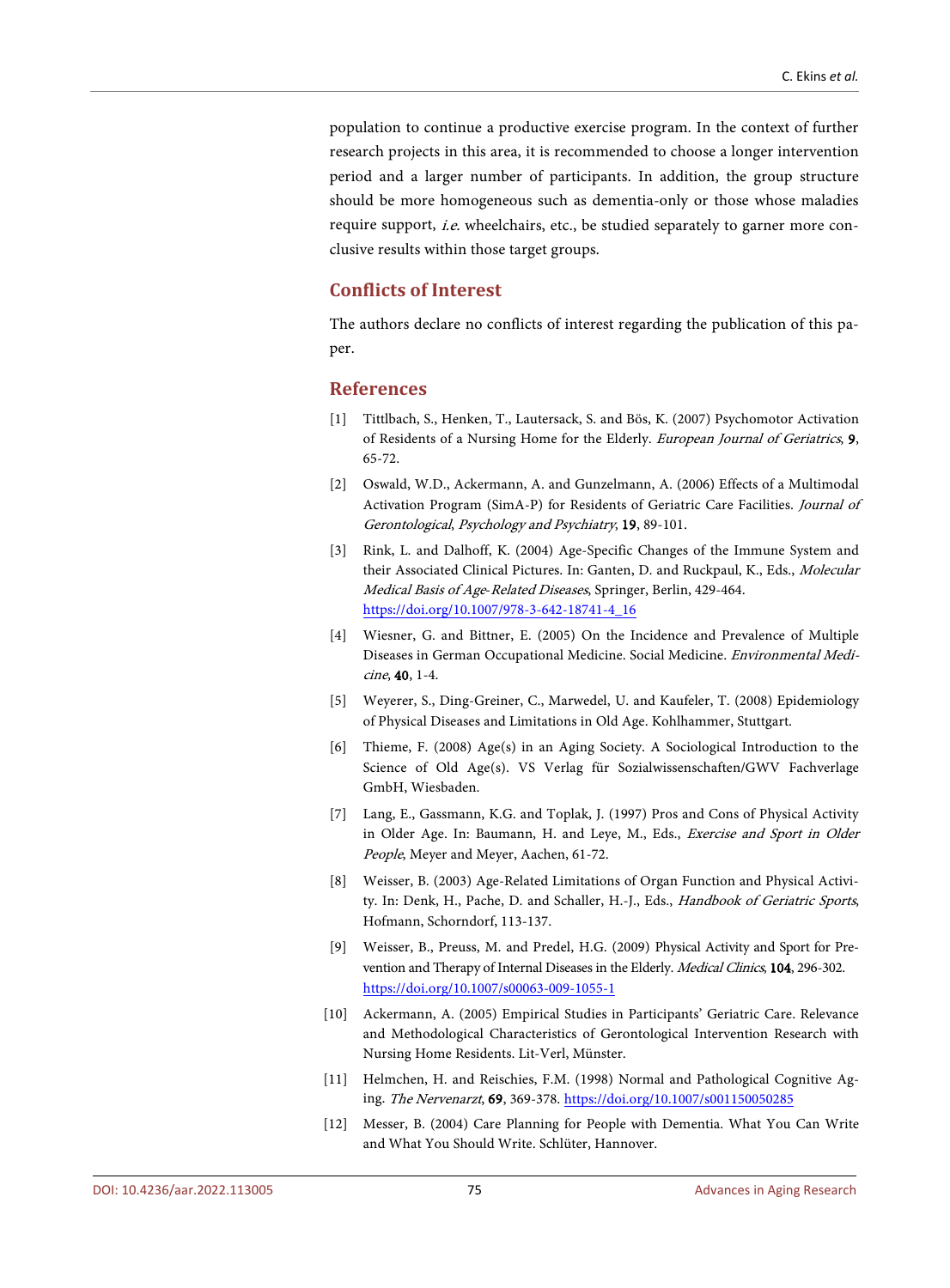population to continue a productive exercise program. In the context of further research projects in this area, it is recommended to choose a longer intervention period and a larger number of participants. In addition, the group structure should be more homogeneous such as dementia-only or those whose maladies require support, *i.e.* wheelchairs, etc., be studied separately to garner more conclusive results within those target groups.

## **Conflicts of Interest**

The authors declare no conflicts of interest regarding the publication of this paper.

#### **References**

- <span id="page-24-0"></span>[1] Tittlbach, S., Henken, T., Lautersack, S. and Bös, K. (2007) Psychomotor Activation of Residents of a Nursing Home for the Elderly. European Journal of Geriatrics, 9, 65-72.
- <span id="page-24-1"></span>[2] Oswald, W.D., Ackermann, A. and Gunzelmann, A. (2006) Effects of a Multimodal Activation Program (SimA-P) for Residents of Geriatric Care Facilities. Journal of Gerontological, Psychology and Psychiatry, 19, 89-101.
- <span id="page-24-2"></span>[3] Rink, L. and Dalhoff, K. (2004) Age-Specific Changes of the Immune System and their Associated Clinical Pictures. In: Ganten, D. and Ruckpaul, K., Eds., Molecular Medical Basis of Age-Related Diseases, Springer, Berlin, 429-464. [https://doi.org/10.1007/978-3-642-18741-4\\_16](https://doi.org/10.1007/978-3-642-18741-4_16)
- <span id="page-24-3"></span>[4] Wiesner, G. and Bittner, E. (2005) On the Incidence and Prevalence of Multiple Diseases in German Occupational Medicine. Social Medicine. Environmental Medicine, 40, 1-4.
- <span id="page-24-4"></span>[5] Weyerer, S., Ding-Greiner, C., Marwedel, U. and Kaufeler, T. (2008) Epidemiology of Physical Diseases and Limitations in Old Age. Kohlhammer, Stuttgart.
- <span id="page-24-5"></span>[6] Thieme, F. (2008) Age(s) in an Aging Society. A Sociological Introduction to the Science of Old Age(s). VS Verlag für Sozialwissenschaften/GWV Fachverlage GmbH, Wiesbaden.
- <span id="page-24-6"></span>[7] Lang, E., Gassmann, K.G. and Toplak, J. (1997) Pros and Cons of Physical Activity in Older Age. In: Baumann, H. and Leye, M., Eds., Exercise and Sport in Older People, Meyer and Meyer, Aachen, 61-72.
- <span id="page-24-7"></span>[8] Weisser, B. (2003) Age-Related Limitations of Organ Function and Physical Activity. In: Denk, H., Pache, D. and Schaller, H.-J., Eds., Handbook of Geriatric Sports, Hofmann, Schorndorf, 113-137.
- <span id="page-24-8"></span>[9] Weisser, B., Preuss, M. and Predel, H.G. (2009) Physical Activity and Sport for Prevention and Therapy of Internal Diseases in the Elderly. Medical Clinics, 104, 296-302. <https://doi.org/10.1007/s00063-009-1055-1>
- <span id="page-24-9"></span>[10] Ackermann, A. (2005) Empirical Studies in Participants' Geriatric Care. Relevance and Methodological Characteristics of Gerontological Intervention Research with Nursing Home Residents. Lit-Verl, Münster.
- <span id="page-24-10"></span>[11] Helmchen, H. and Reischies, F.M. (1998) Normal and Pathological Cognitive Aging. The Nervenarzt, 69, 369-378. <https://doi.org/10.1007/s001150050285>
- <span id="page-24-11"></span>[12] Messer, B. (2004) Care Planning for People with Dementia. What You Can Write and What You Should Write. Schlüter, Hannover.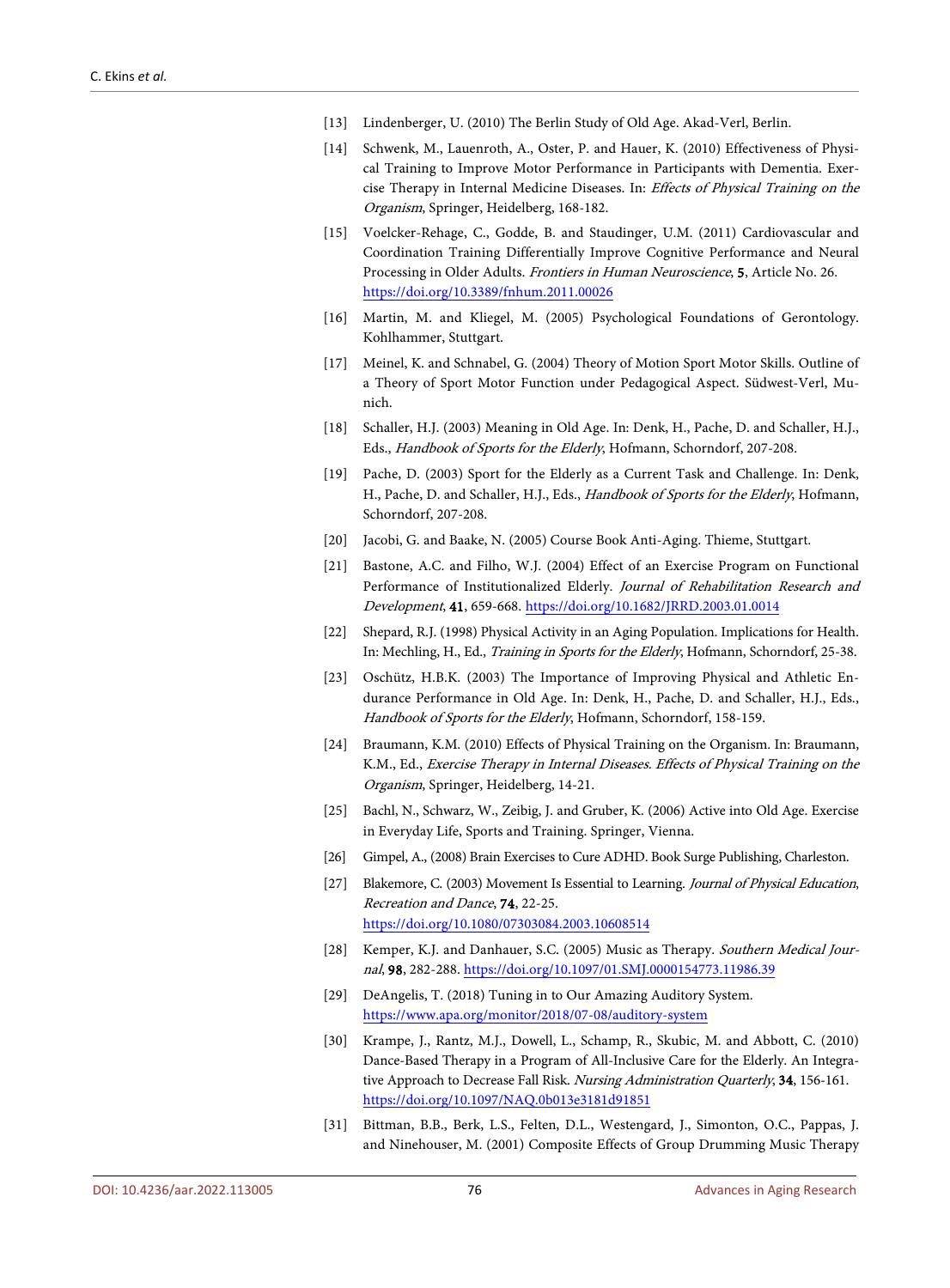- <span id="page-25-0"></span>[13] Lindenberger, U. (2010) The Berlin Study of Old Age. Akad-Verl, Berlin.
- <span id="page-25-1"></span>[14] Schwenk, M., Lauenroth, A., Oster, P. and Hauer, K. (2010) Effectiveness of Physical Training to Improve Motor Performance in Participants with Dementia. Exercise Therapy in Internal Medicine Diseases. In: Effects of Physical Training on the Organism, Springer, Heidelberg, 168-182.
- <span id="page-25-2"></span>[15] Voelcker-Rehage, C., Godde, B. and Staudinger, U.M. (2011) Cardiovascular and Coordination Training Differentially Improve Cognitive Performance and Neural Processing in Older Adults. Frontiers in Human Neuroscience, 5, Article No. 26. <https://doi.org/10.3389/fnhum.2011.00026>
- <span id="page-25-3"></span>[16] Martin, M. and Kliegel, M. (2005) Psychological Foundations of Gerontology. Kohlhammer, Stuttgart.
- <span id="page-25-4"></span>[17] Meinel, K. and Schnabel, G. (2004) Theory of Motion Sport Motor Skills. Outline of a Theory of Sport Motor Function under Pedagogical Aspect. Südwest-Verl, Munich.
- <span id="page-25-5"></span>[18] Schaller, H.J. (2003) Meaning in Old Age. In: Denk, H., Pache, D. and Schaller, H.J., Eds., Handbook of Sports for the Elderly, Hofmann, Schorndorf, 207-208.
- <span id="page-25-6"></span>[19] Pache, D. (2003) Sport for the Elderly as a Current Task and Challenge. In: Denk, H., Pache, D. and Schaller, H.J., Eds., Handbook of Sports for the Elderly, Hofmann, Schorndorf, 207-208.
- <span id="page-25-7"></span>[20] Jacobi, G. and Baake, N. (2005) Course Book Anti-Aging. Thieme, Stuttgart.
- <span id="page-25-8"></span>[21] Bastone, A.C. and Filho, W.J. (2004) Effect of an Exercise Program on Functional Performance of Institutionalized Elderly. Journal of Rehabilitation Research and Development, 41, 659-668. <https://doi.org/10.1682/JRRD.2003.01.0014>
- <span id="page-25-9"></span>[22] Shepard, R.J. (1998) Physical Activity in an Aging Population. Implications for Health. In: Mechling, H., Ed., Training in Sports for the Elderly, Hofmann, Schorndorf, 25-38.
- <span id="page-25-10"></span>[23] Oschütz, H.B.K. (2003) The Importance of Improving Physical and Athletic Endurance Performance in Old Age. In: Denk, H., Pache, D. and Schaller, H.J., Eds., Handbook of Sports for the Elderly, Hofmann, Schorndorf, 158-159.
- <span id="page-25-11"></span>[24] Braumann, K.M. (2010) Effects of Physical Training on the Organism. In: Braumann, K.M., Ed., Exercise Therapy in Internal Diseases. Effects of Physical Training on the Organism, Springer, Heidelberg, 14-21.
- <span id="page-25-12"></span>[25] Bachl, N., Schwarz, W., Zeibig, J. and Gruber, K. (2006) Active into Old Age. Exercise in Everyday Life, Sports and Training. Springer, Vienna.
- <span id="page-25-14"></span><span id="page-25-13"></span>[26] Gimpel, A., (2008) Brain Exercises to Cure ADHD. Book Surge Publishing, Charleston.
- [27] Blakemore, C. (2003) Movement Is Essential to Learning. Journal of Physical Education, Recreation and Dance, 74, 22-25. <https://doi.org/10.1080/07303084.2003.10608514>
- <span id="page-25-15"></span>[28] Kemper, K.J. and Danhauer, S.C. (2005) Music as Therapy. Southern Medical Journal, 98, 282-288.<https://doi.org/10.1097/01.SMJ.0000154773.11986.39>
- <span id="page-25-16"></span>[29] DeAngelis, T. (2018) Tuning in to Our Amazing Auditory System. <https://www.apa.org/monitor/2018/07-08/auditory-system>
- <span id="page-25-17"></span>[30] Krampe, J., Rantz, M.J., Dowell, L., Schamp, R., Skubic, M. and Abbott, C. (2010) Dance-Based Therapy in a Program of All-Inclusive Care for the Elderly. An Integrative Approach to Decrease Fall Risk. Nursing Administration Quarterly, 34, 156-161. <https://doi.org/10.1097/NAQ.0b013e3181d91851>
- <span id="page-25-18"></span>[31] Bittman, B.B., Berk, L.S., Felten, D.L., Westengard, J., Simonton, O.C., Pappas, J. and Ninehouser, M. (2001) Composite Effects of Group Drumming Music Therapy